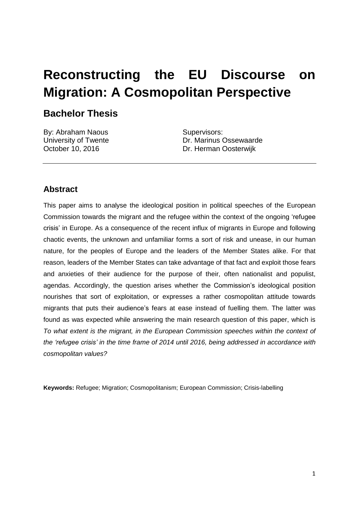# **Reconstructing the EU Discourse on Migration: A Cosmopolitan Perspective**

# **Bachelor Thesis**

By: Abraham Naous University of Twente October 10, 2016

Supervisors: Dr. Marinus Ossewaarde Dr. Herman Oosterwijk

# **Abstract**

This paper aims to analyse the ideological position in political speeches of the European Commission towards the migrant and the refugee within the context of the ongoing 'refugee crisis' in Europe. As a consequence of the recent influx of migrants in Europe and following chaotic events, the unknown and unfamiliar forms a sort of risk and unease, in our human nature, for the peoples of Europe and the leaders of the Member States alike. For that reason, leaders of the Member States can take advantage of that fact and exploit those fears and anxieties of their audience for the purpose of their, often nationalist and populist, agendas. Accordingly, the question arises whether the Commission's ideological position nourishes that sort of exploitation, or expresses a rather cosmopolitan attitude towards migrants that puts their audience's fears at ease instead of fuelling them. The latter was found as was expected while answering the main research question of this paper, which is *To what extent is the migrant, in the European Commission speeches within the context of the 'refugee crisis' in the time frame of 2014 until 2016, being addressed in accordance with cosmopolitan values?* 

**Keywords:** Refugee; Migration; Cosmopolitanism; European Commission; Crisis-labelling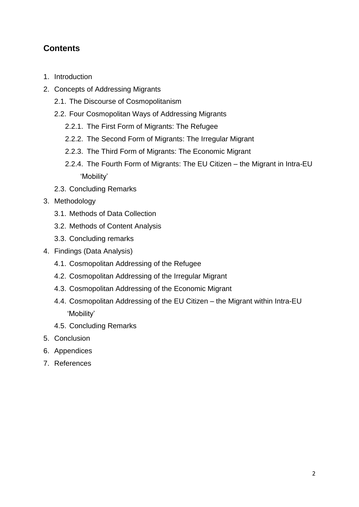# **Contents**

- 1. Introduction
- 2. Concepts of Addressing Migrants
	- 2.1. The Discourse of Cosmopolitanism
	- 2.2. Four Cosmopolitan Ways of Addressing Migrants
		- 2.2.1. The First Form of Migrants: The Refugee
		- 2.2.2. The Second Form of Migrants: The Irregular Migrant
		- 2.2.3. The Third Form of Migrants: The Economic Migrant
		- 2.2.4. The Fourth Form of Migrants: The EU Citizen the Migrant in Intra-EU 'Mobility'
	- 2.3. Concluding Remarks
- 3. Methodology
	- 3.1. Methods of Data Collection
	- 3.2. Methods of Content Analysis
	- 3.3. Concluding remarks
- 4. Findings (Data Analysis)
	- 4.1. Cosmopolitan Addressing of the Refugee
	- 4.2. Cosmopolitan Addressing of the Irregular Migrant
	- 4.3. Cosmopolitan Addressing of the Economic Migrant
	- 4.4. Cosmopolitan Addressing of the EU Citizen the Migrant within Intra-EU 'Mobility'
	- 4.5. Concluding Remarks
- 5. Conclusion
- 6. Appendices
- 7. References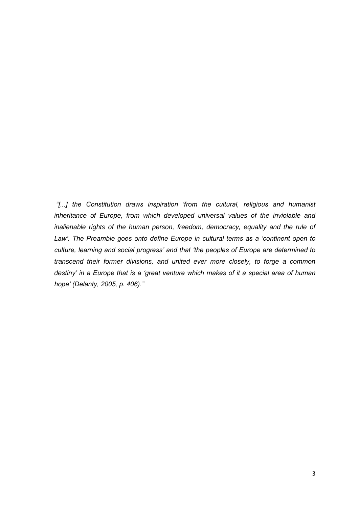*"[...] the Constitution draws inspiration 'from the cultural, religious and humanist inheritance of Europe, from which developed universal values of the inviolable and inalienable rights of the human person, freedom, democracy, equality and the rule of* Law'. The Preamble goes onto define Europe in cultural terms as a 'continent open to *culture, learning and social progress' and that 'the peoples of Europe are determined to transcend their former divisions, and united ever more closely, to forge a common destiny' in a Europe that is a 'great venture which makes of it a special area of human hope' (Delanty, 2005, p. 406)."*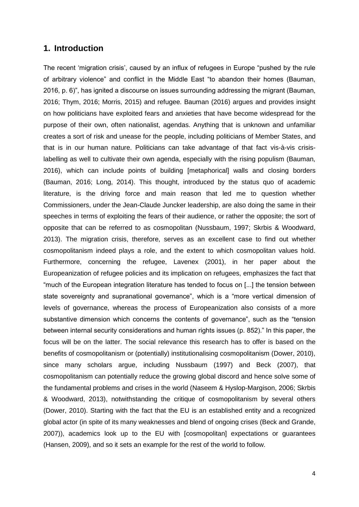#### **1. Introduction**

The recent 'migration crisis', caused by an influx of refugees in Europe "pushed by the rule of arbitrary violence" and conflict in the Middle East "to abandon their homes (Bauman, 2016, p. 6)", has ignited a discourse on issues surrounding addressing the migrant (Bauman, 2016; Thym, 2016; Morris, 2015) and refugee. Bauman (2016) argues and provides insight on how politicians have exploited fears and anxieties that have become widespread for the purpose of their own, often nationalist, agendas. Anything that is unknown and unfamiliar creates a sort of risk and unease for the people, including politicians of Member States, and that is in our human nature. Politicians can take advantage of that fact vis-à-vis crisislabelling as well to cultivate their own agenda, especially with the rising populism (Bauman, 2016), which can include points of building [metaphorical] walls and closing borders (Bauman, 2016; Long, 2014). This thought, introduced by the status quo of academic literature, is the driving force and main reason that led me to question whether Commissioners, under the Jean-Claude Juncker leadership, are also doing the same in their speeches in terms of exploiting the fears of their audience, or rather the opposite; the sort of opposite that can be referred to as cosmopolitan (Nussbaum, 1997; Skrbis & Woodward, 2013). The migration crisis, therefore, serves as an excellent case to find out whether cosmopolitanism indeed plays a role, and the extent to which cosmopolitan values hold. Furthermore, concerning the refugee, Lavenex (2001), in her paper about the Europeanization of refugee policies and its implication on refugees, emphasizes the fact that "much of the European integration literature has tended to focus on [...] the tension between state sovereignty and supranational governance", which is a "more vertical dimension of levels of governance, whereas the process of Europeanization also consists of a more substantive dimension which concerns the contents of governance", such as the "tension between internal security considerations and human rights issues (p. 852)." In this paper, the focus will be on the latter. The social relevance this research has to offer is based on the benefits of cosmopolitanism or (potentially) institutionalising cosmopolitanism (Dower, 2010), since many scholars argue, including Nussbaum (1997) and Beck (2007), that cosmopolitanism can potentially reduce the growing global discord and hence solve some of the fundamental problems and crises in the world (Naseem & Hyslop-Margison, 2006; Skrbis & Woodward, 2013), notwithstanding the critique of cosmopolitanism by several others (Dower, 2010). Starting with the fact that the EU is an established entity and a recognized global actor (in spite of its many weaknesses and blend of ongoing crises (Beck and Grande, 2007)), academics look up to the EU with [cosmopolitan] expectations or guarantees (Hansen, 2009), and so it sets an example for the rest of the world to follow.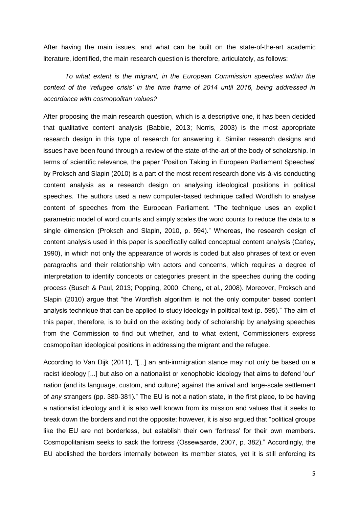After having the main issues, and what can be built on the state-of-the-art academic literature, identified, the main research question is therefore, articulately, as follows:

*To what extent is the migrant, in the European Commission speeches within the context of the 'refugee crisis' in the time frame of 2014 until 2016, being addressed in accordance with cosmopolitan values?* 

After proposing the main research question, which is a descriptive one, it has been decided that qualitative content analysis (Babbie, 2013; Norris, 2003) is the most appropriate research design in this type of research for answering it. Similar research designs and issues have been found through a review of the state-of-the-art of the body of scholarship. In terms of scientific relevance, the paper 'Position Taking in European Parliament Speeches' by Proksch and Slapin (2010) is a part of the most recent research done vis-à-vis conducting content analysis as a research design on analysing ideological positions in political speeches. The authors used a new computer-based technique called Wordfish to analyse content of speeches from the European Parliament. "The technique uses an explicit parametric model of word counts and simply scales the word counts to reduce the data to a single dimension (Proksch and Slapin, 2010, p. 594)." Whereas, the research design of content analysis used in this paper is specifically called conceptual content analysis (Carley, 1990), in which not only the appearance of words is coded but also phrases of text or even paragraphs and their relationship with actors and concerns, which requires a degree of interpretation to identify concepts or categories present in the speeches during the coding process (Busch & Paul, 2013; Popping, 2000; Cheng, et al., 2008). Moreover, Proksch and Slapin (2010) argue that "the Wordfish algorithm is not the only computer based content analysis technique that can be applied to study ideology in political text (p. 595)." The aim of this paper, therefore, is to build on the existing body of scholarship by analysing speeches from the Commission to find out whether, and to what extent, Commissioners express cosmopolitan ideological positions in addressing the migrant and the refugee.

According to Van Dijk (2011), "[...] an anti-immigration stance may not only be based on a racist ideology [...] but also on a nationalist or xenophobic ideology that aims to defend 'our' nation (and its language, custom, and culture) against the arrival and large-scale settlement of *any* strangers (pp. 380-381)." The EU is not a nation state, in the first place, to be having a nationalist ideology and it is also well known from its mission and values that it seeks to break down the borders and not the opposite; however, it is also argued that "political groups like the EU are not borderless, but establish their own 'fortress' for their own members. Cosmopolitanism seeks to sack the fortress (Ossewaarde, 2007, p. 382)." Accordingly, the EU abolished the borders internally between its member states, yet it is still enforcing its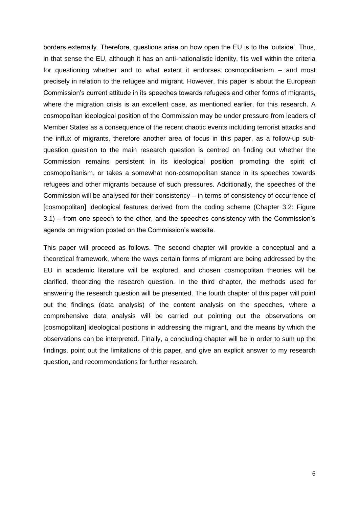borders externally. Therefore, questions arise on how open the EU is to the 'outside'. Thus, in that sense the EU, although it has an anti-nationalistic identity, fits well within the criteria for questioning whether and to what extent it endorses cosmopolitanism – and most precisely in relation to the refugee and migrant. However, this paper is about the European Commission's current attitude in its speeches towards refugees and other forms of migrants, where the migration crisis is an excellent case, as mentioned earlier, for this research. A cosmopolitan ideological position of the Commission may be under pressure from leaders of Member States as a consequence of the recent chaotic events including terrorist attacks and the influx of migrants, therefore another area of focus in this paper, as a follow-up subquestion question to the main research question is centred on finding out whether the Commission remains persistent in its ideological position promoting the spirit of cosmopolitanism, or takes a somewhat non-cosmopolitan stance in its speeches towards refugees and other migrants because of such pressures. Additionally, the speeches of the Commission will be analysed for their consistency – in terms of consistency of occurrence of [cosmopolitan] ideological features derived from the coding scheme (Chapter 3.2: Figure 3.1) – from one speech to the other, and the speeches consistency with the Commission's agenda on migration posted on the Commission's website.

This paper will proceed as follows. The second chapter will provide a conceptual and a theoretical framework, where the ways certain forms of migrant are being addressed by the EU in academic literature will be explored, and chosen cosmopolitan theories will be clarified, theorizing the research question. In the third chapter, the methods used for answering the research question will be presented. The fourth chapter of this paper will point out the findings (data analysis) of the content analysis on the speeches, where a comprehensive data analysis will be carried out pointing out the observations on [cosmopolitan] ideological positions in addressing the migrant, and the means by which the observations can be interpreted. Finally, a concluding chapter will be in order to sum up the findings, point out the limitations of this paper, and give an explicit answer to my research question, and recommendations for further research.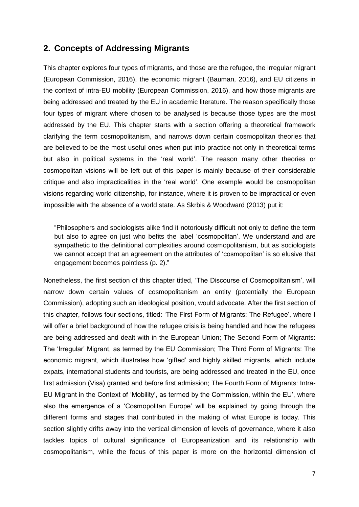### **2. Concepts of Addressing Migrants**

This chapter explores four types of migrants, and those are the refugee, the irregular migrant (European Commission, 2016), the economic migrant (Bauman, 2016), and EU citizens in the context of intra-EU mobility (European Commission, 2016), and how those migrants are being addressed and treated by the EU in academic literature. The reason specifically those four types of migrant where chosen to be analysed is because those types are the most addressed by the EU. This chapter starts with a section offering a theoretical framework clarifying the term cosmopolitanism, and narrows down certain cosmopolitan theories that are believed to be the most useful ones when put into practice not only in theoretical terms but also in political systems in the 'real world'. The reason many other theories or cosmopolitan visions will be left out of this paper is mainly because of their considerable critique and also impracticalities in the 'real world'. One example would be cosmopolitan visions regarding world citizenship, for instance, where it is proven to be impractical or even impossible with the absence of a world state. As Skrbis & Woodward (2013) put it:

"Philosophers and sociologists alike find it notoriously difficult not only to define the term but also to agree on just who befits the label 'cosmopolitan'. We understand and are sympathetic to the definitional complexities around cosmopolitanism, but as sociologists we cannot accept that an agreement on the attributes of 'cosmopolitan' is so elusive that engagement becomes pointless (p. 2)."

Nonetheless, the first section of this chapter titled, 'The Discourse of Cosmopolitanism', will narrow down certain values of cosmopolitanism an entity (potentially the European Commission), adopting such an ideological position, would advocate. After the first section of this chapter, follows four sections, titled: 'The First Form of Migrants: The Refugee', where I will offer a brief background of how the refugee crisis is being handled and how the refugees are being addressed and dealt with in the European Union; The Second Form of Migrants: The 'Irregular' Migrant, as termed by the EU Commission; The Third Form of Migrants: The economic migrant, which illustrates how 'gifted' and highly skilled migrants, which include expats, international students and tourists, are being addressed and treated in the EU, once first admission (Visa) granted and before first admission; The Fourth Form of Migrants: Intra-EU Migrant in the Context of 'Mobility', as termed by the Commission, within the EU', where also the emergence of a 'Cosmopolitan Europe' will be explained by going through the different forms and stages that contributed in the making of what Europe is today. This section slightly drifts away into the vertical dimension of levels of governance, where it also tackles topics of cultural significance of Europeanization and its relationship with cosmopolitanism, while the focus of this paper is more on the horizontal dimension of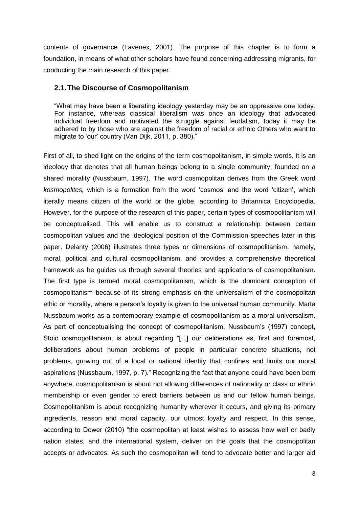contents of governance (Lavenex, 2001). The purpose of this chapter is to form a foundation, in means of what other scholars have found concerning addressing migrants, for conducting the main research of this paper.

#### **2.1.The Discourse of Cosmopolitanism**

"What may have been a liberating ideology yesterday may be an oppressive one today. For instance, whereas classical liberalism was once an ideology that advocated individual freedom and motivated the struggle against feudalism, today it may be adhered to by those who are against the freedom of racial or ethnic Others who want to migrate to 'our' country (Van Dijk, 2011, p. 380)."

First of all, to shed light on the origins of the term cosmopolitanism, in simple words, it is an ideology that denotes that all human beings belong to a single community, founded on a shared morality (Nussbaum, 1997). The word cosmopolitan derives from the Greek word *kosmopolites,* which is a formation from the word 'cosmos' and the word 'citizen', which literally means citizen of the world or the globe, according to Britannica Encyclopedia. However, for the purpose of the research of this paper, certain types of cosmopolitanism will be conceptualised. This will enable us to construct a relationship between certain cosmopolitan values and the ideological position of the Commission speeches later in this paper. Delanty (2006) illustrates three types or dimensions of cosmopolitanism, namely, moral, political and cultural cosmopolitanism, and provides a comprehensive theoretical framework as he guides us through several theories and applications of cosmopolitanism. The first type is termed moral cosmopolitanism, which is the dominant conception of cosmopolitanism because of its strong emphasis on the universalism of the cosmopolitan ethic or morality, where a person's loyalty is given to the universal human community. Marta Nussbaum works as a contemporary example of cosmopolitanism as a moral universalism. As part of conceptualising the concept of cosmopolitanism, Nussbaum's (1997) concept, Stoic cosmopolitanism, is about regarding "[...] our deliberations as, first and foremost, deliberations about human problems of people in particular concrete situations, not problems, growing out of a local or national identity that confines and limits our moral aspirations (Nussbaum, 1997, p. 7)." Recognizing the fact that anyone could have been born anywhere, cosmopolitanism is about not allowing differences of nationality or class or ethnic membership or even gender to erect barriers between us and our fellow human beings. Cosmopolitanism is about recognizing humanity wherever it occurs, and giving its primary ingredients, reason and moral capacity, our utmost loyalty and respect. In this sense, according to Dower (2010) "the cosmopolitan at least wishes to assess how well or badly nation states, and the international system, deliver on the goals that the cosmopolitan accepts or advocates. As such the cosmopolitan will tend to advocate better and larger aid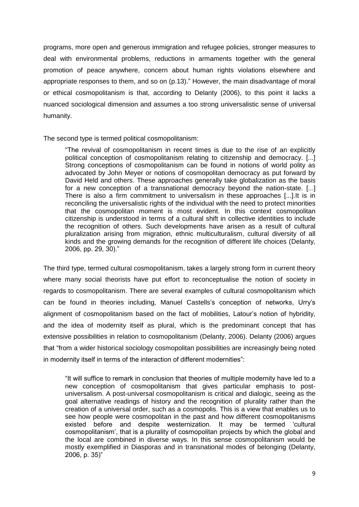programs, more open and generous immigration and refugee policies, stronger measures to deal with environmental problems, reductions in armaments together with the general promotion of peace anywhere, concern about human rights violations elsewhere and appropriate responses to them, and so on (p.13)." However, the main disadvantage of moral or ethical cosmopolitanism is that, according to Delanty (2006), to this point it lacks a nuanced sociological dimension and assumes a too strong universalistic sense of universal humanity.

The second type is termed political cosmopolitanism:

"The revival of cosmopolitanism in recent times is due to the rise of an explicitly political conception of cosmopolitanism relating to citizenship and democracy. [...] Strong conceptions of cosmopolitanism can be found in notions of world polity as advocated by John Meyer or notions of cosmopolitan democracy as put forward by David Held and others. These approaches generally take globalization as the basis for a new conception of a transnational democracy beyond the nation-state. [...] There is also a firm commitment to universalism in these approaches [...].It is in reconciling the universalistic rights of the individual with the need to protect minorities that the cosmopolitan moment is most evident. In this context cosmopolitan citizenship is understood in terms of a cultural shift in collective identities to include the recognition of others. Such developments have arisen as a result of cultural pluralization arising from migration, ethnic multiculturalism, cultural diversity of all kinds and the growing demands for the recognition of different life choices (Delanty, 2006, pp. 29, 30)."

The third type, termed cultural cosmopolitanism, takes a largely strong form in current theory where many social theorists have put effort to reconceptualise the notion of society in regards to cosmopolitanism. There are several examples of cultural cosmopolitanism which can be found in theories including, Manuel Castells's conception of networks, Urry's alignment of cosmopolitanism based on the fact of mobilities, Latour's notion of hybridity, and the idea of modernity itself as plural, which is the predominant concept that has extensive possibilities in relation to cosmopolitanism (Delanty, 2006). Delanty (2006) argues that "from a wider historical sociology cosmopolitan possibilities are increasingly being noted in modernity itself in terms of the interaction of different modernities":

"It will suffice to remark in conclusion that theories of multiple modernity have led to a new conception of cosmopolitanism that gives particular emphasis to postuniversalism. A post-universal cosmopolitanism is critical and dialogic, seeing as the goal alternative readings of history and the recognition of plurality rather than the creation of a universal order, such as a cosmopolis. This is a view that enables us to see how people were cosmopolitan in the past and how different cosmopolitanisms existed before and despite westernization. It may be termed 'cultural cosmopolitanism', that is a plurality of cosmopolitan projects by which the global and the local are combined in diverse ways. In this sense cosmopolitanism would be mostly exemplified in Diasporas and in transnational modes of belonging (Delanty, 2006, p. 35)"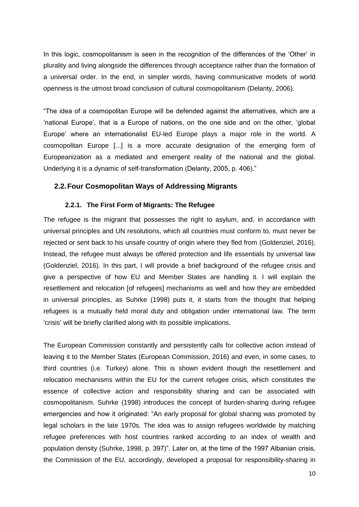In this logic, cosmopolitanism is seen in the recognition of the differences of the 'Other' in plurality and living alongside the differences through acceptance rather than the formation of a universal order. In the end, in simpler words, having communicative models of world openness is the utmost broad conclusion of cultural cosmopolitanism (Delanty, 2006).

"The idea of a cosmopolitan Europe will be defended against the alternatives, which are a 'national Europe', that is a Europe of nations, on the one side and on the other, 'global Europe' where an internationalist EU-led Europe plays a major role in the world. A cosmopolitan Europe [...] is a more accurate designation of the emerging form of Europeanization as a mediated and emergent reality of the national and the global. Underlying it is a dynamic of self-transformation (Delanty, 2005, p. 406)."

#### **2.2.Four Cosmopolitan Ways of Addressing Migrants**

#### **2.2.1. The First Form of Migrants: The Refugee**

The refugee is the migrant that possesses the right to asylum, and, in accordance with universal principles and UN resolutions, which all countries must conform to, must never be rejected or sent back to his unsafe country of origin where they fled from (Goldenziel, 2016). Instead, the refugee must always be offered protection and life essentials by universal law (Goldenziel, 2016). In this part, I will provide a brief background of the refugee crisis and give a perspective of how EU and Member States are handling it. I will explain the resettlement and relocation [of refugees] mechanisms as well and how they are embedded in universal principles, as Suhrke (1998) puts it, it starts from the thought that helping refugees is a mutually held moral duty and obligation under international law. The term 'crisis' will be briefly clarified along with its possible implications.

The European Commission constantly and persistently calls for collective action instead of leaving it to the Member States (European Commission, 2016) and even, in some cases, to third countries (i.e. Turkey) alone. This is shown evident though the resettlement and relocation mechanisms within the EU for the current refugee crisis, which constitutes the essence of collective action and responsibility sharing and can be associated with cosmopolitanism. Suhrke (1998) introduces the concept of burden-sharing during refugee emergencies and how it originated: "An early proposal for global sharing was promoted by legal scholars in the late 1970s. The idea was to assign refugees worldwide by matching refugee preferences with host countries ranked according to an index of wealth and population density (Suhrke, 1998, p. 397)". Later on, at the time of the 1997 Albanian crisis, the Commission of the EU, accordingly, developed a proposal for responsibility-sharing in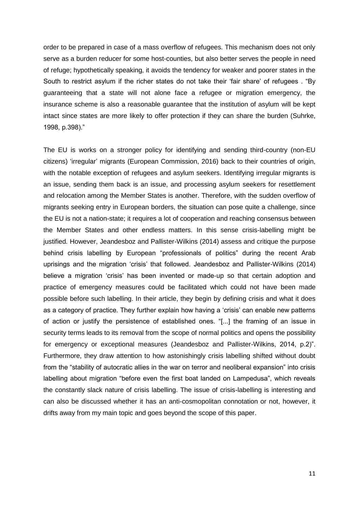order to be prepared in case of a mass overflow of refugees. This mechanism does not only serve as a burden reducer for some host-counties, but also better serves the people in need of refuge; hypothetically speaking, it avoids the tendency for weaker and poorer states in the South to restrict asylum if the richer states do not take their 'fair share' of refugees . "By guaranteeing that a state will not alone face a refugee or migration emergency, the insurance scheme is also a reasonable guarantee that the institution of asylum will be kept intact since states are more likely to offer protection if they can share the burden (Suhrke, 1998, p.398)."

The EU is works on a stronger policy for identifying and sending third-country (non-EU citizens) 'irregular' migrants (European Commission, 2016) back to their countries of origin, with the notable exception of refugees and asylum seekers. Identifying irregular migrants is an issue, sending them back is an issue, and processing asylum seekers for resettlement and relocation among the Member States is another. Therefore, with the sudden overflow of migrants seeking entry in European borders, the situation can pose quite a challenge, since the EU is not a nation-state; it requires a lot of cooperation and reaching consensus between the Member States and other endless matters. In this sense crisis-labelling might be justified. However, Jeandesboz and Pallister-Wilkins (2014) assess and critique the purpose behind crisis labelling by European "professionals of politics" during the recent Arab uprisings and the migration 'crisis' that followed. Jeandesboz and Pallister-Wilkins (2014) believe a migration 'crisis' has been invented or made-up so that certain adoption and practice of emergency measures could be facilitated which could not have been made possible before such labelling. In their article, they begin by defining crisis and what it does as a category of practice. They further explain how having a 'crisis' can enable new patterns of action or justify the persistence of established ones. "[...] the framing of an issue in security terms leads to its removal from the scope of normal politics and opens the possibility for emergency or exceptional measures (Jeandesboz and Pallister-Wilkins, 2014, p.2)". Furthermore, they draw attention to how astonishingly crisis labelling shifted without doubt from the "stability of autocratic allies in the war on terror and neoliberal expansion" into crisis labelling about migration "before even the first boat landed on Lampedusa", which reveals the constantly slack nature of crisis labelling. The issue of crisis-labelling is interesting and can also be discussed whether it has an anti-cosmopolitan connotation or not, however, it drifts away from my main topic and goes beyond the scope of this paper.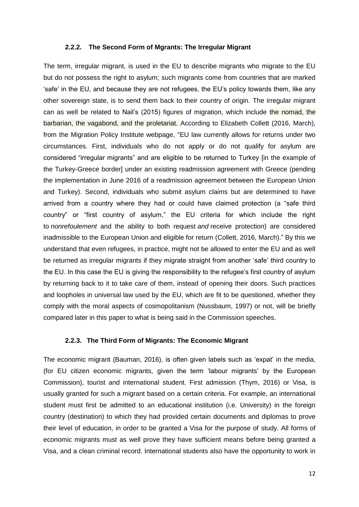#### **2.2.2. The Second Form of Mgrants: The Irregular Migrant**

The term, irregular migrant, is used in the EU to describe migrants who migrate to the EU but do not possess the right to asylum; such migrants come from countries that are marked 'safe' in the EU, and because they are not refugees, the EU's policy towards them, like any other sovereign state, is to send them back to their country of origin. The irregular migrant can as well be related to Nail's (2015) figures of migration, which include the nomad, the barbarian, the vagabond, and the proletariat. According to Elizabeth Collett (2016, March), from the Migration Policy Institute webpage, "EU law currently allows for returns under two circumstances. First, individuals who do not apply or do not qualify for asylum are considered "irregular migrants" and are eligible to be returned to Turkey [in the example of the Turkey-Greece border] under an existing readmission agreement with Greece (pending the implementation in June 2016 of a readmission agreement between the European Union and Turkey). Second, individuals who submit asylum claims but are determined to have arrived from a country where they had or could have claimed protection (a "safe third country" or "first country of asylum," the EU criteria for which include the right to *nonrefoulement* and the ability to both request *and* receive protection) are considered inadmissible to the European Union and eligible for return (Collett, 2016, March)." By this we understand that even refugees, in practice, might not be allowed to enter the EU and as well be returned as irregular migrants if they migrate straight from another 'safe' third country to the EU. In this case the EU is giving the responsibility to the refugee's first country of asylum by returning back to it to take care of them, instead of opening their doors. Such practices and loopholes in universal law used by the EU, which are fit to be questioned, whether they comply with the moral aspects of cosmopolitanism (Nussbaum, 1997) or not, will be briefly compared later in this paper to what is being said in the Commission speeches.

#### **2.2.3. The Third Form of Migrants: The Economic Migrant**

The economic migrant (Bauman, 2016), is often given labels such as 'expat' in the media, (for EU citizen economic migrants, given the term 'labour migrants' by the European Commission), tourist and international student. First admission (Thym, 2016) or Visa, is usually granted for such a migrant based on a certain criteria. For example, an international student must first be admitted to an educational institution (i.e. University) in the foreign country (destination) to which they had provided certain documents and diplomas to prove their level of education, in order to be granted a Visa for the purpose of study. All forms of economic migrants must as well prove they have sufficient means before being granted a Visa, and a clean criminal record. International students also have the opportunity to work in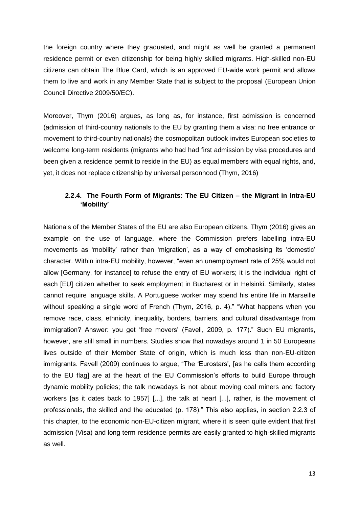the foreign country where they graduated, and might as well be granted a permanent residence permit or even citizenship for being highly skilled migrants. High-skilled non-EU citizens can obtain The Blue Card, which is an approved EU-wide work permit and allows them to live and work in any Member State that is subject to the proposal (European Union Council Directive 2009/50/EC).

Moreover, Thym (2016) argues, as long as, for instance, first admission is concerned (admission of third-country nationals to the EU by granting them a visa: no free entrance or movement to third-country nationals) the cosmopolitan outlook invites European societies to welcome long-term residents (migrants who had had first admission by visa procedures and been given a residence permit to reside in the EU) as equal members with equal rights, and, yet, it does not replace citizenship by universal personhood (Thym, 2016)

### **2.2.4. The Fourth Form of Migrants: The EU Citizen – the Migrant in Intra-EU 'Mobility'**

Nationals of the Member States of the EU are also European citizens. Thym (2016) gives an example on the use of language, where the Commission prefers labelling intra-EU movements as 'mobility' rather than 'migration', as a way of emphasising its 'domestic' character. Within intra-EU mobility, however, "even an unemployment rate of 25% would not allow [Germany, for instance] to refuse the entry of EU workers; it is the individual right of each [EU] citizen whether to seek employment in Bucharest or in Helsinki. Similarly, states cannot require language skills. A Portuguese worker may spend his entire life in Marseille without speaking a single word of French (Thym, 2016, p. 4)." "What happens when you remove race, class, ethnicity, inequality, borders, barriers, and cultural disadvantage from immigration? Answer: you get 'free movers' (Favell, 2009, p. 177)." Such EU migrants, however, are still small in numbers. Studies show that nowadays around 1 in 50 Europeans lives outside of their Member State of origin, which is much less than non-EU-citizen immigrants. Favell (2009) continues to argue, "The 'Eurostars', [as he calls them according to the EU flag] are at the heart of the EU Commission's efforts to build Europe through dynamic mobility policies; the talk nowadays is not about moving coal miners and factory workers [as it dates back to 1957] [...], the talk at heart [...], rather, is the movement of professionals, the skilled and the educated (p. 178)." This also applies, in section 2.2.3 of this chapter, to the economic non-EU-citizen migrant, where it is seen quite evident that first admission (Visa) and long term residence permits are easily granted to high-skilled migrants as well.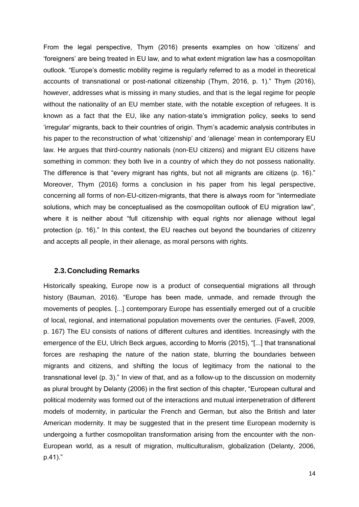From the legal perspective, Thym (2016) presents examples on how 'citizens' and 'foreigners' are being treated in EU law, and to what extent migration law has a cosmopolitan outlook. "Europe's domestic mobility regime is regularly referred to as a model in theoretical accounts of transnational or post-national citizenship (Thym, 2016, p. 1)." Thym (2016), however, addresses what is missing in many studies, and that is the legal regime for people without the nationality of an EU member state, with the notable exception of refugees. It is known as a fact that the EU, like any nation-state's immigration policy, seeks to send 'irregular' migrants, back to their countries of origin. Thym's academic analysis contributes in his paper to the reconstruction of what 'citizenship' and 'alienage' mean in contemporary EU law. He argues that third-country nationals (non-EU citizens) and migrant EU citizens have something in common: they both live in a country of which they do not possess nationality. The difference is that "every migrant has rights, but not all migrants are citizens (p. 16)." Moreover, Thym (2016) forms a conclusion in his paper from his legal perspective, concerning all forms of non-EU-citizen-migrants, that there is always room for "intermediate solutions, which may be conceptualised as the cosmopolitan outlook of EU migration law", where it is neither about "full citizenship with equal rights nor alienage without legal protection (p. 16)." In this context, the EU reaches out beyond the boundaries of citizenry and accepts all people, in their alienage, as moral persons with rights.

#### **2.3.Concluding Remarks**

Historically speaking, Europe now is a product of consequential migrations all through history (Bauman, 2016). "Europe has been made, unmade, and remade through the movements of peoples. [...] contemporary Europe has essentially emerged out of a crucible of local, regional, and international population movements over the centuries. (Favell, 2009, p. 167) The EU consists of nations of different cultures and identities. Increasingly with the emergence of the EU, Ulrich Beck argues, according to Morris (2015), "[...] that transnational forces are reshaping the nature of the nation state, blurring the boundaries between migrants and citizens, and shifting the locus of legitimacy from the national to the transnational level (p. 3)." In view of that, and as a follow-up to the discussion on modernity as plural brought by Delanty (2006) in the first section of this chapter, "European cultural and political modernity was formed out of the interactions and mutual interpenetration of different models of modernity, in particular the French and German, but also the British and later American modernity. It may be suggested that in the present time European modernity is undergoing a further cosmopolitan transformation arising from the encounter with the non-European world, as a result of migration, multiculturalism, globalization (Delanty, 2006, p.41)."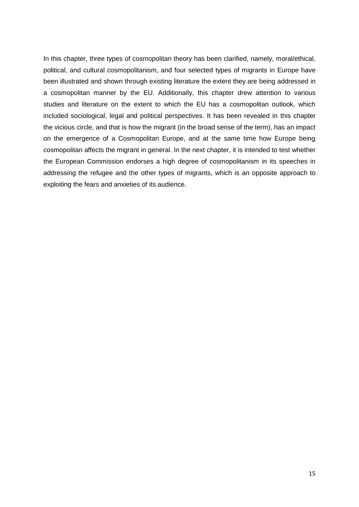In this chapter, three types of cosmopolitan theory has been clarified, namely, moral/ethical, political, and cultural cosmopolitanism, and four selected types of migrants in Europe have been illustrated and shown through existing literature the extent they are being addressed in a cosmopolitan manner by the EU. Additionally, this chapter drew attention to various studies and literature on the extent to which the EU has a cosmopolitan outlook, which included sociological, legal and political perspectives. It has been revealed in this chapter the vicious circle, and that is how the migrant (in the broad sense of the term), has an impact on the emergence of a Cosmopolitan Europe, and at the same time how Europe being cosmopolitan affects the migrant in general. In the next chapter, it is intended to test whether the European Commission endorses a high degree of cosmopolitanism in its speeches in addressing the refugee and the other types of migrants, which is an opposite approach to exploiting the fears and anxieties of its audience.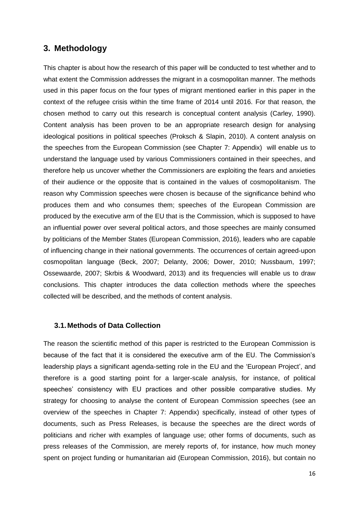# **3. Methodology**

This chapter is about how the research of this paper will be conducted to test whether and to what extent the Commission addresses the migrant in a cosmopolitan manner. The methods used in this paper focus on the four types of migrant mentioned earlier in this paper in the context of the refugee crisis within the time frame of 2014 until 2016. For that reason, the chosen method to carry out this research is conceptual content analysis (Carley, 1990). Content analysis has been proven to be an appropriate research design for analysing ideological positions in political speeches (Proksch & Slapin, 2010). A content analysis on the speeches from the European Commission (see Chapter 7: Appendix) will enable us to understand the language used by various Commissioners contained in their speeches, and therefore help us uncover whether the Commissioners are exploiting the fears and anxieties of their audience or the opposite that is contained in the values of cosmopolitanism. The reason why Commission speeches were chosen is because of the significance behind who produces them and who consumes them; speeches of the European Commission are produced by the executive arm of the EU that is the Commission, which is supposed to have an influential power over several political actors, and those speeches are mainly consumed by politicians of the Member States (European Commission, 2016), leaders who are capable of influencing change in their national governments. The occurrences of certain agreed-upon cosmopolitan language (Beck, 2007; Delanty, 2006; Dower, 2010; Nussbaum, 1997; Ossewaarde, 2007; Skrbis & Woodward, 2013) and its frequencies will enable us to draw conclusions. This chapter introduces the data collection methods where the speeches collected will be described, and the methods of content analysis.

#### **3.1.Methods of Data Collection**

The reason the scientific method of this paper is restricted to the European Commission is because of the fact that it is considered the executive arm of the EU. The Commission's leadership plays a significant agenda-setting role in the EU and the 'European Project', and therefore is a good starting point for a larger-scale analysis, for instance, of political speeches' consistency with EU practices and other possible comparative studies. My strategy for choosing to analyse the content of European Commission speeches (see an overview of the speeches in Chapter 7: Appendix) specifically, instead of other types of documents, such as Press Releases, is because the speeches are the direct words of politicians and richer with examples of language use; other forms of documents, such as press releases of the Commission, are merely reports of, for instance, how much money spent on project funding or humanitarian aid (European Commission, 2016), but contain no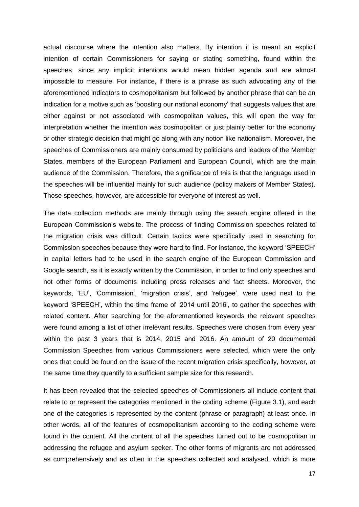actual discourse where the intention also matters. By intention it is meant an explicit intention of certain Commissioners for saying or stating something, found within the speeches, since any implicit intentions would mean hidden agenda and are almost impossible to measure. For instance, if there is a phrase as such advocating any of the aforementioned indicators to cosmopolitanism but followed by another phrase that can be an indication for a motive such as 'boosting our national economy' that suggests values that are either against or not associated with cosmopolitan values, this will open the way for interpretation whether the intention was cosmopolitan or just plainly better for the economy or other strategic decision that might go along with any notion like nationalism. Moreover, the speeches of Commissioners are mainly consumed by politicians and leaders of the Member States, members of the European Parliament and European Council, which are the main audience of the Commission. Therefore, the significance of this is that the language used in the speeches will be influential mainly for such audience (policy makers of Member States). Those speeches, however, are accessible for everyone of interest as well.

The data collection methods are mainly through using the search engine offered in the European Commission's website. The process of finding Commission speeches related to the migration crisis was difficult. Certain tactics were specifically used in searching for Commission speeches because they were hard to find. For instance, the keyword 'SPEECH' in capital letters had to be used in the search engine of the European Commission and Google search, as it is exactly written by the Commission, in order to find only speeches and not other forms of documents including press releases and fact sheets. Moreover, the keywords, 'EU', 'Commission', 'migration crisis', and 'refugee', were used next to the keyword 'SPEECH', within the time frame of '2014 until 2016', to gather the speeches with related content. After searching for the aforementioned keywords the relevant speeches were found among a list of other irrelevant results. Speeches were chosen from every year within the past 3 years that is 2014, 2015 and 2016. An amount of 20 documented Commission Speeches from various Commissioners were selected, which were the only ones that could be found on the issue of the recent migration crisis specifically, however, at the same time they quantify to a sufficient sample size for this research.

It has been revealed that the selected speeches of Commissioners all include content that relate to or represent the categories mentioned in the coding scheme (Figure 3.1), and each one of the categories is represented by the content (phrase or paragraph) at least once. In other words, all of the features of cosmopolitanism according to the coding scheme were found in the content. All the content of all the speeches turned out to be cosmopolitan in addressing the refugee and asylum seeker. The other forms of migrants are not addressed as comprehensively and as often in the speeches collected and analysed, which is more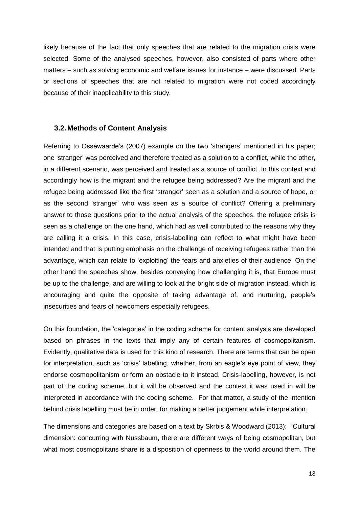likely because of the fact that only speeches that are related to the migration crisis were selected. Some of the analysed speeches, however, also consisted of parts where other matters – such as solving economic and welfare issues for instance – were discussed. Parts or sections of speeches that are not related to migration were not coded accordingly because of their inapplicability to this study.

#### **3.2.Methods of Content Analysis**

Referring to Ossewaarde's (2007) example on the two 'strangers' mentioned in his paper; one 'stranger' was perceived and therefore treated as a solution to a conflict, while the other, in a different scenario, was perceived and treated as a source of conflict. In this context and accordingly how is the migrant and the refugee being addressed? Are the migrant and the refugee being addressed like the first 'stranger' seen as a solution and a source of hope, or as the second 'stranger' who was seen as a source of conflict? Offering a preliminary answer to those questions prior to the actual analysis of the speeches, the refugee crisis is seen as a challenge on the one hand, which had as well contributed to the reasons why they are calling it a crisis. In this case, crisis-labelling can reflect to what might have been intended and that is putting emphasis on the challenge of receiving refugees rather than the advantage, which can relate to 'exploiting' the fears and anxieties of their audience. On the other hand the speeches show, besides conveying how challenging it is, that Europe must be up to the challenge, and are willing to look at the bright side of migration instead, which is encouraging and quite the opposite of taking advantage of, and nurturing, people's insecurities and fears of newcomers especially refugees.

On this foundation, the 'categories' in the coding scheme for content analysis are developed based on phrases in the texts that imply any of certain features of cosmopolitanism. Evidently, qualitative data is used for this kind of research. There are terms that can be open for interpretation, such as 'crisis' labelling, whether, from an eagle's eye point of view, they endorse cosmopolitanism or form an obstacle to it instead. Crisis-labelling, however, is not part of the coding scheme, but it will be observed and the context it was used in will be interpreted in accordance with the coding scheme. For that matter, a study of the intention behind crisis labelling must be in order, for making a better judgement while interpretation.

The dimensions and categories are based on a text by Skrbis & Woodward (2013): "Cultural dimension: concurring with Nussbaum, there are different ways of being cosmopolitan, but what most cosmopolitans share is a disposition of openness to the world around them. The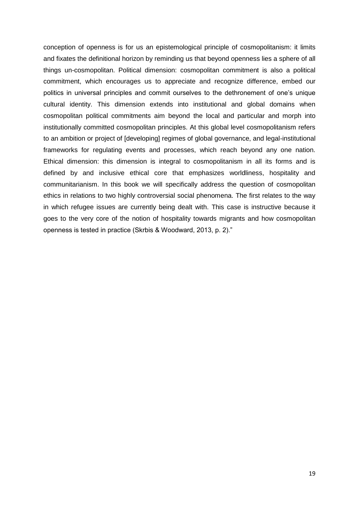conception of openness is for us an epistemological principle of cosmopolitanism: it limits and fixates the definitional horizon by reminding us that beyond openness lies a sphere of all things un-cosmopolitan. Political dimension: cosmopolitan commitment is also a political commitment, which encourages us to appreciate and recognize difference, embed our politics in universal principles and commit ourselves to the dethronement of one's unique cultural identity. This dimension extends into institutional and global domains when cosmopolitan political commitments aim beyond the local and particular and morph into institutionally committed cosmopolitan principles. At this global level cosmopolitanism refers to an ambition or project of [developing] regimes of global governance, and legal-institutional frameworks for regulating events and processes, which reach beyond any one nation. Ethical dimension: this dimension is integral to cosmopolitanism in all its forms and is defined by and inclusive ethical core that emphasizes worldliness, hospitality and communitarianism. In this book we will specifically address the question of cosmopolitan ethics in relations to two highly controversial social phenomena. The first relates to the way in which refugee issues are currently being dealt with. This case is instructive because it goes to the very core of the notion of hospitality towards migrants and how cosmopolitan openness is tested in practice (Skrbis & Woodward, 2013, p. 2)."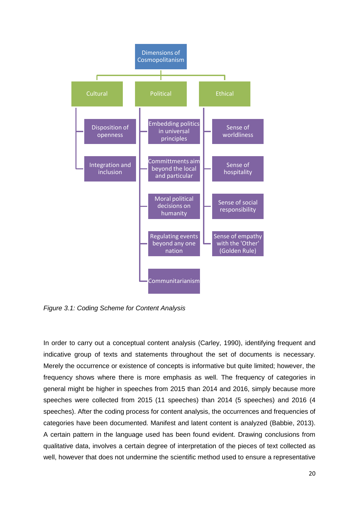

*Figure 3.1: Coding Scheme for Content Analysis* 

In order to carry out a conceptual content analysis (Carley, 1990), identifying frequent and indicative group of texts and statements throughout the set of documents is necessary. Merely the occurrence or existence of concepts is informative but quite limited; however, the frequency shows where there is more emphasis as well. The frequency of categories in general might be higher in speeches from 2015 than 2014 and 2016, simply because more speeches were collected from 2015 (11 speeches) than 2014 (5 speeches) and 2016 (4 speeches). After the coding process for content analysis, the occurrences and frequencies of categories have been documented. Manifest and latent content is analyzed (Babbie, 2013). A certain pattern in the language used has been found evident. Drawing conclusions from qualitative data, involves a certain degree of interpretation of the pieces of text collected as well, however that does not undermine the scientific method used to ensure a representative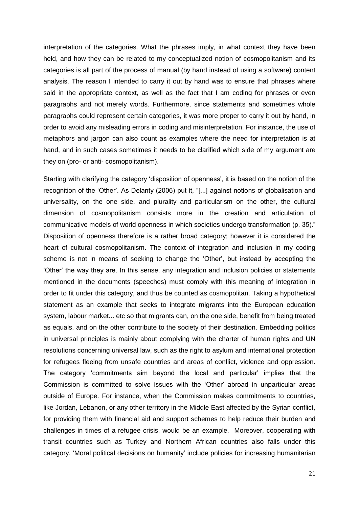interpretation of the categories. What the phrases imply, in what context they have been held, and how they can be related to my conceptualized notion of cosmopolitanism and its categories is all part of the process of manual (by hand instead of using a software) content analysis. The reason I intended to carry it out by hand was to ensure that phrases where said in the appropriate context, as well as the fact that I am coding for phrases or even paragraphs and not merely words. Furthermore, since statements and sometimes whole paragraphs could represent certain categories, it was more proper to carry it out by hand, in order to avoid any misleading errors in coding and misinterpretation. For instance, the use of metaphors and jargon can also count as examples where the need for interpretation is at hand, and in such cases sometimes it needs to be clarified which side of my argument are they on (pro- or anti- cosmopolitanism).

Starting with clarifying the category 'disposition of openness', it is based on the notion of the recognition of the 'Other'. As Delanty (2006) put it, "[...] against notions of globalisation and universality, on the one side, and plurality and particularism on the other, the cultural dimension of cosmopolitanism consists more in the creation and articulation of communicative models of world openness in which societies undergo transformation (p. 35)." Disposition of openness therefore is a rather broad category; however it is considered the heart of cultural cosmopolitanism. The context of integration and inclusion in my coding scheme is not in means of seeking to change the 'Other', but instead by accepting the 'Other' the way they are. In this sense, any integration and inclusion policies or statements mentioned in the documents (speeches) must comply with this meaning of integration in order to fit under this category, and thus be counted as cosmopolitan. Taking a hypothetical statement as an example that seeks to integrate migrants into the European education system, labour market... etc so that migrants can, on the one side, benefit from being treated as equals, and on the other contribute to the society of their destination. Embedding politics in universal principles is mainly about complying with the charter of human rights and UN resolutions concerning universal law, such as the right to asylum and international protection for refugees fleeing from unsafe countries and areas of conflict, violence and oppression. The category 'commitments aim beyond the local and particular' implies that the Commission is committed to solve issues with the 'Other' abroad in unparticular areas outside of Europe. For instance, when the Commission makes commitments to countries, like Jordan, Lebanon, or any other territory in the Middle East affected by the Syrian conflict, for providing them with financial aid and support schemes to help reduce their burden and challenges in times of a refugee crisis, would be an example. Moreover, cooperating with transit countries such as Turkey and Northern African countries also falls under this category. 'Moral political decisions on humanity' include policies for increasing humanitarian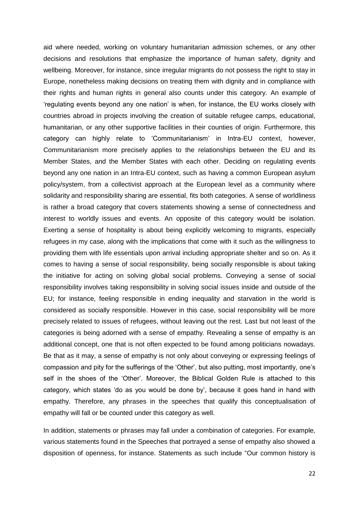aid where needed, working on voluntary humanitarian admission schemes, or any other decisions and resolutions that emphasize the importance of human safety, dignity and wellbeing. Moreover, for instance, since irregular migrants do not possess the right to stay in Europe, nonetheless making decisions on treating them with dignity and in compliance with their rights and human rights in general also counts under this category. An example of 'regulating events beyond any one nation' is when, for instance, the EU works closely with countries abroad in projects involving the creation of suitable refugee camps, educational, humanitarian, or any other supportive facilities in their counties of origin. Furthermore, this category can highly relate to 'Communitarianism' in Intra-EU context, however, Communitarianism more precisely applies to the relationships between the EU and its Member States, and the Member States with each other. Deciding on regulating events beyond any one nation in an Intra-EU context, such as having a common European asylum policy/system, from a collectivist approach at the European level as a community where solidarity and responsibility sharing are essential, fits both categories. A sense of worldliness is rather a broad category that covers statements showing a sense of connectedness and interest to worldly issues and events. An opposite of this category would be isolation. Exerting a sense of hospitality is about being explicitly welcoming to migrants, especially refugees in my case, along with the implications that come with it such as the willingness to providing them with life essentials upon arrival including appropriate shelter and so on. As it comes to having a sense of social responsibility, being socially responsible is about taking the initiative for acting on solving global social problems. Conveying a sense of social responsibility involves taking responsibility in solving social issues inside and outside of the EU; for instance, feeling responsible in ending inequality and starvation in the world is considered as socially responsible. However in this case, social responsibility will be more precisely related to issues of refugees, without leaving out the rest. Last but not least of the categories is being adorned with a sense of empathy. Revealing a sense of empathy is an additional concept, one that is not often expected to be found among politicians nowadays. Be that as it may, a sense of empathy is not only about conveying or expressing feelings of compassion and pity for the sufferings of the 'Other', but also putting, most importantly, one's self in the shoes of the 'Other'. Moreover, the Biblical Golden Rule is attached to this category, which states 'do as you would be done by', because it goes hand in hand with empathy. Therefore, any phrases in the speeches that qualify this conceptualisation of empathy will fall or be counted under this category as well.

In addition, statements or phrases may fall under a combination of categories. For example, various statements found in the Speeches that portrayed a sense of empathy also showed a disposition of openness, for instance. Statements as such include "Our common history is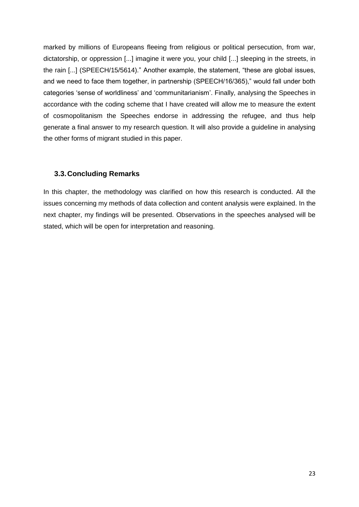marked by millions of Europeans fleeing from religious or political persecution, from war, dictatorship, or oppression [...] imagine it were you, your child [...] sleeping in the streets, in the rain [...] (SPEECH/15/5614)." Another example, the statement, "these are global issues, and we need to face them together, in partnership (SPEECH/16/365)," would fall under both categories 'sense of worldliness' and 'communitarianism'. Finally, analysing the Speeches in accordance with the coding scheme that I have created will allow me to measure the extent of cosmopolitanism the Speeches endorse in addressing the refugee, and thus help generate a final answer to my research question. It will also provide a guideline in analysing the other forms of migrant studied in this paper.

#### **3.3.Concluding Remarks**

In this chapter, the methodology was clarified on how this research is conducted. All the issues concerning my methods of data collection and content analysis were explained. In the next chapter, my findings will be presented. Observations in the speeches analysed will be stated, which will be open for interpretation and reasoning.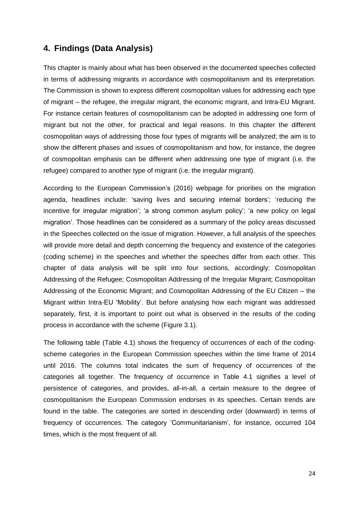# **4. Findings (Data Analysis)**

This chapter is mainly about what has been observed in the documented speeches collected in terms of addressing migrants in accordance with cosmopolitanism and its interpretation. The Commission is shown to express different cosmopolitan values for addressing each type of migrant – the refugee, the irregular migrant, the economic migrant, and Intra-EU Migrant. For instance certain features of cosmopolitanism can be adopted in addressing one form of migrant but not the other, for practical and legal reasons. In this chapter the different cosmopolitan ways of addressing those four types of migrants will be analyzed; the aim is to show the different phases and issues of cosmopolitanism and how, for instance, the degree of cosmopolitan emphasis can be different when addressing one type of migrant (i.e. the refugee) compared to another type of migrant (i.e. the irregular migrant).

According to the European Commission's (2016) webpage for priorities on the migration agenda, headlines include: 'saving lives and securing internal borders'; 'reducing the incentive for irregular migration'; 'a strong common asylum policy'; 'a new policy on legal migration'. Those headlines can be considered as a summary of the policy areas discussed in the Speeches collected on the issue of migration. However, a full analysis of the speeches will provide more detail and depth concerning the frequency and existence of the categories (coding scheme) in the speeches and whether the speeches differ from each other. This chapter of data analysis will be split into four sections, accordingly: Cosmopolitan Addressing of the Refugee; Cosmopolitan Addressing of the Irregular Migrant; Cosmopolitan Addressing of the Economic Migrant; and Cosmopolitan Addressing of the EU Citizen – the Migrant within Intra-EU 'Mobility'. But before analysing how each migrant was addressed separately, first, it is important to point out what is observed in the results of the coding process in accordance with the scheme (Figure 3.1).

The following table (Table 4.1) shows the frequency of occurrences of each of the codingscheme categories in the European Commission speeches within the time frame of 2014 until 2016. The columns total indicates the sum of frequency of occurrences of the categories all together. The frequency of occurrence in Table 4.1 signifies a level of persistence of categories, and provides, all-in-all, a certain measure to the degree of cosmopolitanism the European Commission endorses in its speeches. Certain trends are found in the table. The categories are sorted in descending order (downward) in terms of frequency of occurrences. The category 'Communitarianism', for instance, occurred 104 times, which is the most frequent of all.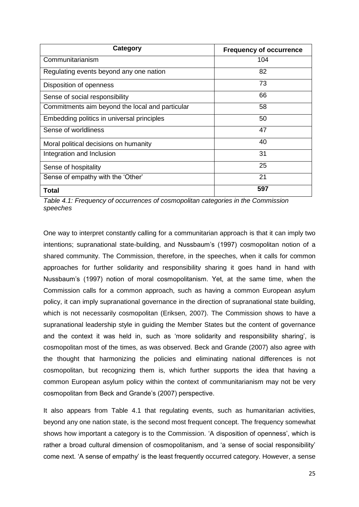| <b>Category</b>                                 | <b>Frequency of occurrence</b> |
|-------------------------------------------------|--------------------------------|
| Communitarianism                                | 104                            |
| Regulating events beyond any one nation         | 82                             |
| Disposition of openness                         | 73                             |
| Sense of social responsibility                  | 66                             |
| Commitments aim beyond the local and particular | 58                             |
| Embedding politics in universal principles      | 50                             |
| Sense of worldliness                            | 47                             |
| Moral political decisions on humanity           | 40                             |
| Integration and Inclusion                       | 31                             |
| Sense of hospitality                            | 25                             |
| Sense of empathy with the 'Other'               | 21                             |
| Total                                           | 597                            |

*Table 4.1: Frequency of occurrences of cosmopolitan categories in the Commission speeches* 

One way to interpret constantly calling for a communitarian approach is that it can imply two intentions; supranational state-building, and Nussbaum's (1997) cosmopolitan notion of a shared community. The Commission, therefore, in the speeches, when it calls for common approaches for further solidarity and responsibility sharing it goes hand in hand with Nussbaum's (1997) notion of moral cosmopolitanism. Yet, at the same time, when the Commission calls for a common approach, such as having a common European asylum policy, it can imply supranational governance in the direction of supranational state building, which is not necessarily cosmopolitan (Eriksen, 2007). The Commission shows to have a supranational leadership style in guiding the Member States but the content of governance and the context it was held in, such as 'more solidarity and responsibility sharing', is cosmopolitan most of the times, as was observed. Beck and Grande (2007) also agree with the thought that harmonizing the policies and eliminating national differences is not cosmopolitan, but recognizing them is, which further supports the idea that having a common European asylum policy within the context of communitarianism may not be very cosmopolitan from Beck and Grande's (2007) perspective.

It also appears from Table 4.1 that regulating events, such as humanitarian activities, beyond any one nation state, is the second most frequent concept. The frequency somewhat shows how important a category is to the Commission. 'A disposition of openness', which is rather a broad cultural dimension of cosmopolitanism, and 'a sense of social responsibility' come next. 'A sense of empathy' is the least frequently occurred category. However, a sense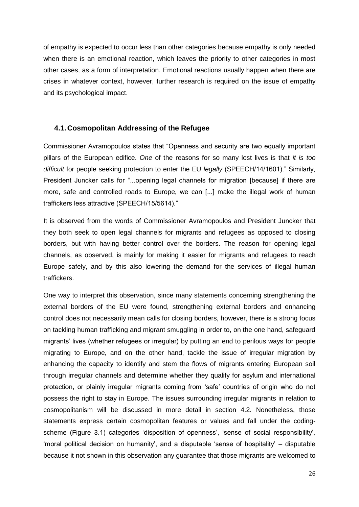of empathy is expected to occur less than other categories because empathy is only needed when there is an emotional reaction, which leaves the priority to other categories in most other cases, as a form of interpretation. Emotional reactions usually happen when there are crises in whatever context, however, further research is required on the issue of empathy and its psychological impact.

#### **4.1.Cosmopolitan Addressing of the Refugee**

Commissioner Avramopoulos states that "Openness and security are two equally important pillars of the European edifice. *One* of the reasons for so many lost lives is that *it is too difficult* for people seeking protection to enter the EU *legally* (SPEECH/14/1601)." Similarly, President Juncker calls for "...opening legal channels for migration [because] if there are more, safe and controlled roads to Europe, we can [...] make the illegal work of human traffickers less attractive (SPEECH/15/5614)."

It is observed from the words of Commissioner Avramopoulos and President Juncker that they both seek to open legal channels for migrants and refugees as opposed to closing borders, but with having better control over the borders. The reason for opening legal channels, as observed, is mainly for making it easier for migrants and refugees to reach Europe safely, and by this also lowering the demand for the services of illegal human traffickers.

One way to interpret this observation, since many statements concerning strengthening the external borders of the EU were found, strengthening external borders and enhancing control does not necessarily mean calls for closing borders, however, there is a strong focus on tackling human trafficking and migrant smuggling in order to, on the one hand, safeguard migrants' lives (whether refugees or irregular) by putting an end to perilous ways for people migrating to Europe, and on the other hand, tackle the issue of irregular migration by enhancing the capacity to identify and stem the flows of migrants entering European soil through irregular channels and determine whether they qualify for asylum and international protection, or plainly irregular migrants coming from 'safe' countries of origin who do not possess the right to stay in Europe. The issues surrounding irregular migrants in relation to cosmopolitanism will be discussed in more detail in section 4.2. Nonetheless, those statements express certain cosmopolitan features or values and fall under the codingscheme (Figure 3.1) categories 'disposition of openness', 'sense of social responsibility', 'moral political decision on humanity', and a disputable 'sense of hospitality' – disputable because it not shown in this observation any guarantee that those migrants are welcomed to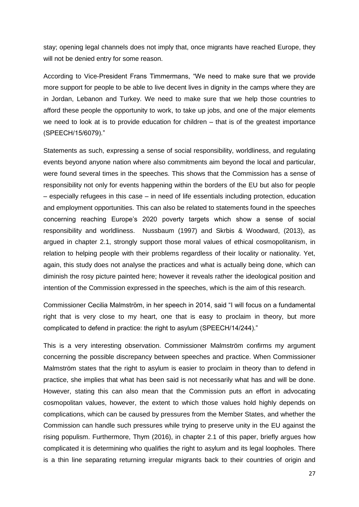stay; opening legal channels does not imply that, once migrants have reached Europe, they will not be denied entry for some reason.

According to Vice-President Frans Timmermans, "We need to make sure that we provide more support for people to be able to live decent lives in dignity in the camps where they are in Jordan, Lebanon and Turkey. We need to make sure that we help those countries to afford these people the opportunity to work, to take up jobs, and one of the major elements we need to look at is to provide education for children – that is of the greatest importance (SPEECH/15/6079)."

Statements as such, expressing a sense of social responsibility, worldliness, and regulating events beyond anyone nation where also commitments aim beyond the local and particular, were found several times in the speeches. This shows that the Commission has a sense of responsibility not only for events happening within the borders of the EU but also for people – especially refugees in this case – in need of life essentials including protection, education and employment opportunities. This can also be related to statements found in the speeches concerning reaching Europe's 2020 poverty targets which show a sense of social responsibility and worldliness. Nussbaum (1997) and Skrbis & Woodward, (2013), as argued in chapter 2.1, strongly support those moral values of ethical cosmopolitanism, in relation to helping people with their problems regardless of their locality or nationality. Yet, again, this study does not analyse the practices and what is actually being done, which can diminish the rosy picture painted here; however it reveals rather the ideological position and intention of the Commission expressed in the speeches, which is the aim of this research.

Commissioner Cecilia Malmström, in her speech in 2014, said "I will focus on a fundamental right that is very close to my heart, one that is easy to proclaim in theory, but more complicated to defend in practice: the right to asylum (SPEECH/14/244)."

This is a very interesting observation. Commissioner Malmström confirms my argument concerning the possible discrepancy between speeches and practice. When Commissioner Malmström states that the right to asylum is easier to proclaim in theory than to defend in practice, she implies that what has been said is not necessarily what has and will be done. However, stating this can also mean that the Commission puts an effort in advocating cosmopolitan values, however, the extent to which those values hold highly depends on complications, which can be caused by pressures from the Member States, and whether the Commission can handle such pressures while trying to preserve unity in the EU against the rising populism. Furthermore, Thym (2016), in chapter 2.1 of this paper, briefly argues how complicated it is determining who qualifies the right to asylum and its legal loopholes. There is a thin line separating returning irregular migrants back to their countries of origin and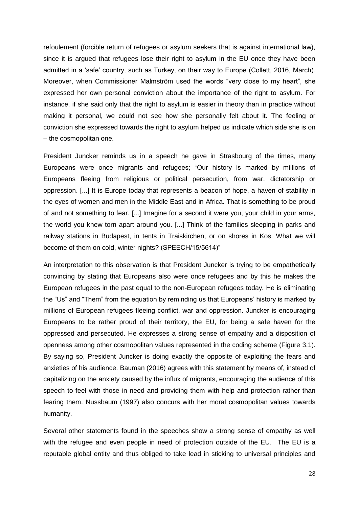refoulement (forcible return of refugees or asylum seekers that is against international law), since it is argued that refugees lose their right to asylum in the EU once they have been admitted in a 'safe' country, such as Turkey, on their way to Europe (Collett, 2016, March). Moreover, when Commissioner Malmström used the words "very close to my heart", she expressed her own personal conviction about the importance of the right to asylum. For instance, if she said only that the right to asylum is easier in theory than in practice without making it personal, we could not see how she personally felt about it. The feeling or conviction she expressed towards the right to asylum helped us indicate which side she is on – the cosmopolitan one.

President Juncker reminds us in a speech he gave in Strasbourg of the times, many Europeans were once migrants and refugees; "Our history is marked by millions of Europeans fleeing from religious or political persecution, from war, dictatorship or oppression. [...] It is Europe today that represents a beacon of hope, a haven of stability in the eyes of women and men in the Middle East and in Africa. That is something to be proud of and not something to fear. [...] Imagine for a second it were you, your child in your arms, the world you knew torn apart around you. [...] Think of the families sleeping in parks and railway stations in Budapest, in tents in Traiskirchen, or on shores in Kos. What we will become of them on cold, winter nights? (SPEECH/15/5614)"

An interpretation to this observation is that President Juncker is trying to be empathetically convincing by stating that Europeans also were once refugees and by this he makes the European refugees in the past equal to the non-European refugees today. He is eliminating the "Us" and "Them" from the equation by reminding us that Europeans' history is marked by millions of European refugees fleeing conflict, war and oppression. Juncker is encouraging Europeans to be rather proud of their territory, the EU, for being a safe haven for the oppressed and persecuted. He expresses a strong sense of empathy and a disposition of openness among other cosmopolitan values represented in the coding scheme (Figure 3.1). By saying so, President Juncker is doing exactly the opposite of exploiting the fears and anxieties of his audience. Bauman (2016) agrees with this statement by means of, instead of capitalizing on the anxiety caused by the influx of migrants, encouraging the audience of this speech to feel with those in need and providing them with help and protection rather than fearing them. Nussbaum (1997) also concurs with her moral cosmopolitan values towards humanity.

Several other statements found in the speeches show a strong sense of empathy as well with the refugee and even people in need of protection outside of the EU. The EU is a reputable global entity and thus obliged to take lead in sticking to universal principles and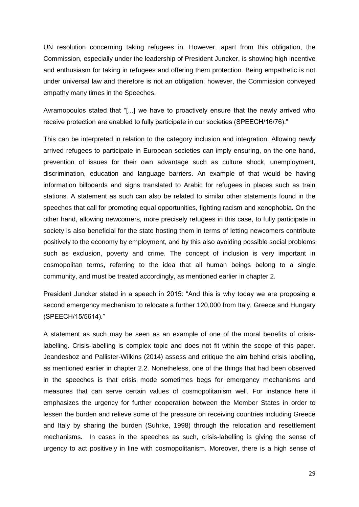UN resolution concerning taking refugees in. However, apart from this obligation, the Commission, especially under the leadership of President Juncker, is showing high incentive and enthusiasm for taking in refugees and offering them protection. Being empathetic is not under universal law and therefore is not an obligation; however, the Commission conveyed empathy many times in the Speeches.

Avramopoulos stated that "[...] we have to proactively ensure that the newly arrived who receive protection are enabled to fully participate in our societies (SPEECH/16/76)."

This can be interpreted in relation to the category inclusion and integration. Allowing newly arrived refugees to participate in European societies can imply ensuring, on the one hand, prevention of issues for their own advantage such as culture shock, unemployment, discrimination, education and language barriers. An example of that would be having information billboards and signs translated to Arabic for refugees in places such as train stations. A statement as such can also be related to similar other statements found in the speeches that call for promoting equal opportunities, fighting racism and xenophobia. On the other hand, allowing newcomers, more precisely refugees in this case, to fully participate in society is also beneficial for the state hosting them in terms of letting newcomers contribute positively to the economy by employment, and by this also avoiding possible social problems such as exclusion, poverty and crime. The concept of inclusion is very important in cosmopolitan terms, referring to the idea that all human beings belong to a single community, and must be treated accordingly, as mentioned earlier in chapter 2.

President Juncker stated in a speech in 2015: "And this is why today we are proposing a second emergency mechanism to relocate a further 120,000 from Italy, Greece and Hungary (SPEECH/15/5614)."

A statement as such may be seen as an example of one of the moral benefits of crisislabelling. Crisis-labelling is complex topic and does not fit within the scope of this paper. Jeandesboz and Pallister-Wilkins (2014) assess and critique the aim behind crisis labelling, as mentioned earlier in chapter 2.2. Nonetheless, one of the things that had been observed in the speeches is that crisis mode sometimes begs for emergency mechanisms and measures that can serve certain values of cosmopolitanism well. For instance here it emphasizes the urgency for further cooperation between the Member States in order to lessen the burden and relieve some of the pressure on receiving countries including Greece and Italy by sharing the burden (Suhrke, 1998) through the relocation and resettlement mechanisms. In cases in the speeches as such, crisis-labelling is giving the sense of urgency to act positively in line with cosmopolitanism. Moreover, there is a high sense of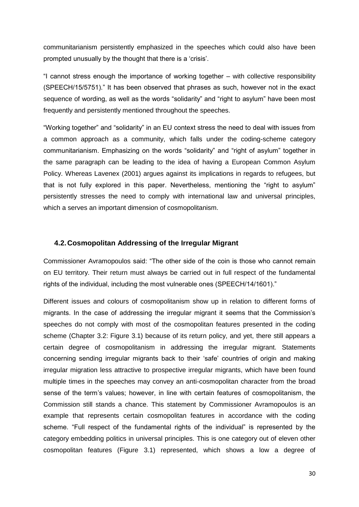communitarianism persistently emphasized in the speeches which could also have been prompted unusually by the thought that there is a 'crisis'.

"I cannot stress enough the importance of working together – with collective responsibility (SPEECH/15/5751)." It has been observed that phrases as such, however not in the exact sequence of wording, as well as the words "solidarity" and "right to asylum" have been most frequently and persistently mentioned throughout the speeches.

"Working together" and "solidarity" in an EU context stress the need to deal with issues from a common approach as a community, which falls under the coding-scheme category communitarianism. Emphasizing on the words "solidarity" and "right of asylum" together in the same paragraph can be leading to the idea of having a European Common Asylum Policy. Whereas Lavenex (2001) argues against its implications in regards to refugees, but that is not fully explored in this paper. Nevertheless, mentioning the "right to asylum" persistently stresses the need to comply with international law and universal principles, which a serves an important dimension of cosmopolitanism.

#### **4.2.Cosmopolitan Addressing of the Irregular Migrant**

Commissioner Avramopoulos said: "The other side of the coin is those who cannot remain on EU territory. Their return must always be carried out in full respect of the fundamental rights of the individual, including the most vulnerable ones (SPEECH/14/1601)."

Different issues and colours of cosmopolitanism show up in relation to different forms of migrants. In the case of addressing the irregular migrant it seems that the Commission's speeches do not comply with most of the cosmopolitan features presented in the coding scheme (Chapter 3.2: Figure 3.1) because of its return policy, and yet, there still appears a certain degree of cosmopolitanism in addressing the irregular migrant. Statements concerning sending irregular migrants back to their 'safe' countries of origin and making irregular migration less attractive to prospective irregular migrants, which have been found multiple times in the speeches may convey an anti-cosmopolitan character from the broad sense of the term's values; however, in line with certain features of cosmopolitanism, the Commission still stands a chance. This statement by Commissioner Avramopoulos is an example that represents certain cosmopolitan features in accordance with the coding scheme. "Full respect of the fundamental rights of the individual" is represented by the category embedding politics in universal principles. This is one category out of eleven other cosmopolitan features (Figure 3.1) represented, which shows a low a degree of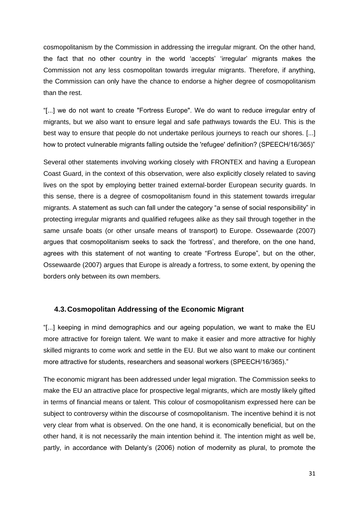cosmopolitanism by the Commission in addressing the irregular migrant. On the other hand, the fact that no other country in the world 'accepts' 'irregular' migrants makes the Commission not any less cosmopolitan towards irregular migrants. Therefore, if anything, the Commission can only have the chance to endorse a higher degree of cosmopolitanism than the rest.

"[...] we do not want to create "Fortress Europe". We do want to reduce irregular entry of migrants, but we also want to ensure legal and safe pathways towards the EU. This is the best way to ensure that people do not undertake perilous journeys to reach our shores. [...] how to protect vulnerable migrants falling outside the 'refugee' definition? (SPEECH/16/365)"

Several other statements involving working closely with FRONTEX and having a European Coast Guard, in the context of this observation, were also explicitly closely related to saving lives on the spot by employing better trained external-border European security guards. In this sense, there is a degree of cosmopolitanism found in this statement towards irregular migrants. A statement as such can fall under the category "a sense of social responsibility" in protecting irregular migrants and qualified refugees alike as they sail through together in the same unsafe boats (or other unsafe means of transport) to Europe. Ossewaarde (2007) argues that cosmopolitanism seeks to sack the 'fortress', and therefore, on the one hand, agrees with this statement of not wanting to create "Fortress Europe", but on the other, Ossewaarde (2007) argues that Europe is already a fortress, to some extent, by opening the borders only between its own members.

#### **4.3.Cosmopolitan Addressing of the Economic Migrant**

"[...] keeping in mind demographics and our ageing population, we want to make the EU more attractive for foreign talent. We want to make it easier and more attractive for highly skilled migrants to come work and settle in the EU. But we also want to make our continent more attractive for students, researchers and seasonal workers (SPEECH/16/365)."

The economic migrant has been addressed under legal migration. The Commission seeks to make the EU an attractive place for prospective legal migrants, which are mostly likely gifted in terms of financial means or talent. This colour of cosmopolitanism expressed here can be subject to controversy within the discourse of cosmopolitanism. The incentive behind it is not very clear from what is observed. On the one hand, it is economically beneficial, but on the other hand, it is not necessarily the main intention behind it. The intention might as well be, partly, in accordance with Delanty's (2006) notion of modernity as plural, to promote the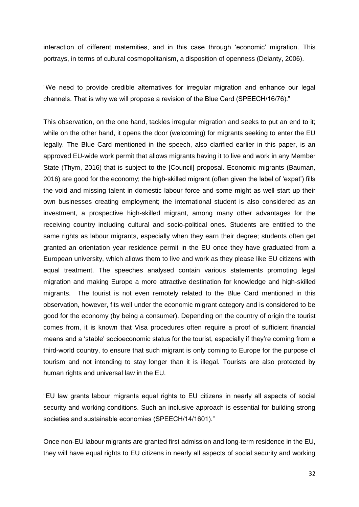interaction of different maternities, and in this case through 'economic' migration. This portrays, in terms of cultural cosmopolitanism, a disposition of openness (Delanty, 2006).

"We need to provide credible alternatives for irregular migration and enhance our legal channels. That is why we will propose a revision of the Blue Card (SPEECH/16/76)."

This observation, on the one hand, tackles irregular migration and seeks to put an end to it; while on the other hand, it opens the door (welcoming) for migrants seeking to enter the EU legally. The Blue Card mentioned in the speech, also clarified earlier in this paper, is an approved EU-wide work permit that allows migrants having it to live and work in any Member State (Thym, 2016) that is subject to the [Council] proposal. Economic migrants (Bauman, 2016) are good for the economy; the high-skilled migrant (often given the label of 'expat') fills the void and missing talent in domestic labour force and some might as well start up their own businesses creating employment; the international student is also considered as an investment, a prospective high-skilled migrant, among many other advantages for the receiving country including cultural and socio-political ones. Students are entitled to the same rights as labour migrants, especially when they earn their degree; students often get granted an orientation year residence permit in the EU once they have graduated from a European university, which allows them to live and work as they please like EU citizens with equal treatment. The speeches analysed contain various statements promoting legal migration and making Europe a more attractive destination for knowledge and high-skilled migrants. The tourist is not even remotely related to the Blue Card mentioned in this observation, however, fits well under the economic migrant category and is considered to be good for the economy (by being a consumer). Depending on the country of origin the tourist comes from, it is known that Visa procedures often require a proof of sufficient financial means and a 'stable' socioeconomic status for the tourist, especially if they're coming from a third-world country, to ensure that such migrant is only coming to Europe for the purpose of tourism and not intending to stay longer than it is illegal. Tourists are also protected by human rights and universal law in the EU.

"EU law grants labour migrants equal rights to EU citizens in nearly all aspects of social security and working conditions. Such an inclusive approach is essential for building strong societies and sustainable economies (SPEECH/14/1601)."

Once non-EU labour migrants are granted first admission and long-term residence in the EU, they will have equal rights to EU citizens in nearly all aspects of social security and working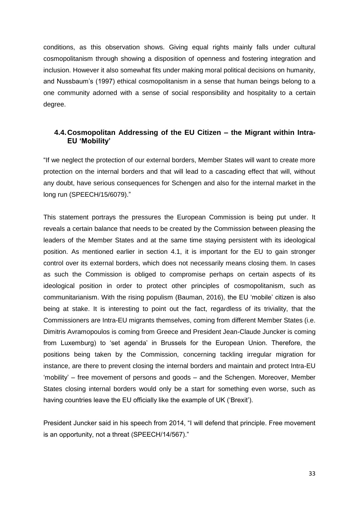conditions, as this observation shows. Giving equal rights mainly falls under cultural cosmopolitanism through showing a disposition of openness and fostering integration and inclusion. However it also somewhat fits under making moral political decisions on humanity, and Nussbaum's (1997) ethical cosmopolitanism in a sense that human beings belong to a one community adorned with a sense of social responsibility and hospitality to a certain degree.

#### **4.4.Cosmopolitan Addressing of the EU Citizen – the Migrant within Intra-EU 'Mobility'**

"If we neglect the protection of our external borders, Member States will want to create more protection on the internal borders and that will lead to a cascading effect that will, without any doubt, have serious consequences for Schengen and also for the internal market in the long run (SPEECH/15/6079)."

This statement portrays the pressures the European Commission is being put under. It reveals a certain balance that needs to be created by the Commission between pleasing the leaders of the Member States and at the same time staying persistent with its ideological position. As mentioned earlier in section 4.1, it is important for the EU to gain stronger control over its external borders, which does not necessarily means closing them. In cases as such the Commission is obliged to compromise perhaps on certain aspects of its ideological position in order to protect other principles of cosmopolitanism, such as communitarianism. With the rising populism (Bauman, 2016), the EU 'mobile' citizen is also being at stake. It is interesting to point out the fact, regardless of its triviality, that the Commissioners are Intra-EU migrants themselves, coming from different Member States (i.e. Dimitris Avramopoulos is coming from Greece and President Jean-Claude Juncker is coming from Luxemburg) to 'set agenda' in Brussels for the European Union. Therefore, the positions being taken by the Commission, concerning tackling irregular migration for instance, are there to prevent closing the internal borders and maintain and protect Intra-EU 'mobility' – free movement of persons and goods – and the Schengen. Moreover, Member States closing internal borders would only be a start for something even worse, such as having countries leave the EU officially like the example of UK ('Brexit').

President Juncker said in his speech from 2014, "I will defend that principle. Free movement is an opportunity, not a threat (SPEECH/14/567)."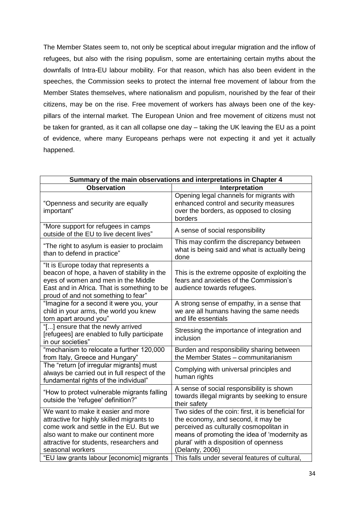The Member States seem to, not only be sceptical about irregular migration and the inflow of refugees, but also with the rising populism, some are entertaining certain myths about the downfalls of Intra-EU labour mobility. For that reason, which has also been evident in the speeches, the Commission seeks to protect the internal free movement of labour from the Member States themselves, where nationalism and populism, nourished by the fear of their citizens, may be on the rise. Free movement of workers has always been one of the keypillars of the internal market. The European Union and free movement of citizens must not be taken for granted, as it can all collapse one day – taking the UK leaving the EU as a point of evidence, where many Europeans perhaps were not expecting it and yet it actually happened.

| Summary of the main observations and interpretations in Chapter 4                                                                                                                                                                                                              |                                                                                                                                                                                                                                                                                                    |  |  |
|--------------------------------------------------------------------------------------------------------------------------------------------------------------------------------------------------------------------------------------------------------------------------------|----------------------------------------------------------------------------------------------------------------------------------------------------------------------------------------------------------------------------------------------------------------------------------------------------|--|--|
| <b>Observation</b>                                                                                                                                                                                                                                                             | Interpretation                                                                                                                                                                                                                                                                                     |  |  |
| "Openness and security are equally<br>important"                                                                                                                                                                                                                               | Opening legal channels for migrants with<br>enhanced control and security measures<br>over the borders, as opposed to closing<br>borders                                                                                                                                                           |  |  |
| "More support for refugees in camps<br>outside of the EU to live decent lives"                                                                                                                                                                                                 | A sense of social responsibility                                                                                                                                                                                                                                                                   |  |  |
| "The right to asylum is easier to proclaim<br>than to defend in practice"                                                                                                                                                                                                      | This may confirm the discrepancy between<br>what is being said and what is actually being<br>done                                                                                                                                                                                                  |  |  |
| "It is Europe today that represents a<br>beacon of hope, a haven of stability in the<br>eyes of women and men in the Middle<br>East and in Africa. That is something to be<br>proud of and not something to fear"                                                              | This is the extreme opposite of exploiting the<br>fears and anxieties of the Commission's<br>audience towards refugees.                                                                                                                                                                            |  |  |
| "Imagine for a second it were you, your<br>child in your arms, the world you knew<br>torn apart around you"                                                                                                                                                                    | A strong sense of empathy, in a sense that<br>we are all humans having the same needs<br>and life essentials                                                                                                                                                                                       |  |  |
| "[] ensure that the newly arrived<br>[refugees] are enabled to fully participate<br>in our societies"                                                                                                                                                                          | Stressing the importance of integration and<br>inclusion                                                                                                                                                                                                                                           |  |  |
| "mechanism to relocate a further 120,000<br>from Italy, Greece and Hungary"                                                                                                                                                                                                    | Burden and responsibility sharing between<br>the Member States - communitarianism                                                                                                                                                                                                                  |  |  |
| The "return [of irregular migrants] must<br>always be carried out in full respect of the<br>fundamental rights of the individual"                                                                                                                                              | Complying with universal principles and<br>human rights                                                                                                                                                                                                                                            |  |  |
| "How to protect vulnerable migrants falling<br>outside the 'refugee' definition?"                                                                                                                                                                                              | A sense of social responsibility is shown<br>towards illegal migrants by seeking to ensure<br>their safety                                                                                                                                                                                         |  |  |
| We want to make it easier and more<br>attractive for highly skilled migrants to<br>come work and settle in the EU. But we<br>also want to make our continent more<br>attractive for students, researchers and<br>seasonal workers<br>"EU law grants labour [economic] migrants | Two sides of the coin: first, it is beneficial for<br>the economy, and second, it may be<br>perceived as culturally cosmopolitan in<br>means of promoting the idea of 'modernity as<br>plural' with a disposition of openness<br>(Delanty, 2006)<br>This falls under several features of cultural, |  |  |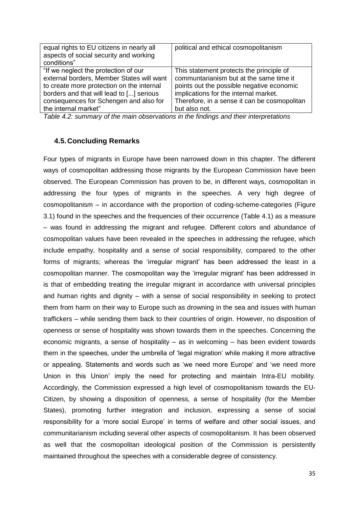| equal rights to EU citizens in nearly all<br>aspects of social security and working<br>conditions" | political and ethical cosmopolitanism        |
|----------------------------------------------------------------------------------------------------|----------------------------------------------|
| "If we neglect the protection of our                                                               | This statement protects the principle of     |
| external borders, Member States will want                                                          | communtarianism but at the same time it      |
| to create more protection on the internal                                                          | points out the possible negative economic    |
| borders and that will lead to [] serious                                                           | implications for the internal market.        |
| consequences for Schengen and also for                                                             | Therefore, in a sense it can be cosmopolitan |
| the internal market"                                                                               | but also not.                                |

*Table 4.2: summary of the main observations in the findings and their interpretations* 

#### **4.5.Concluding Remarks**

Four types of migrants in Europe have been narrowed down in this chapter. The different ways of cosmopolitan addressing those migrants by the European Commission have been observed. The European Commission has proven to be, in different ways, cosmopolitan in addressing the four types of migrants in the speeches. A very high degree of cosmopolitanism – in accordance with the proportion of coding-scheme-categories (Figure 3.1) found in the speeches and the frequencies of their occurrence (Table 4.1) as a measure – was found in addressing the migrant and refugee. Different colors and abundance of cosmopolitan values have been revealed in the speeches in addressing the refugee, which include empathy, hospitality and a sense of social responsibility, compared to the other forms of migrants; whereas the 'irregular migrant' has been addressed the least in a cosmopolitan manner. The cosmopolitan way the 'irregular migrant' has been addressed in is that of embedding treating the irregular migrant in accordance with universal principles and human rights and dignity – with a sense of social responsibility in seeking to protect them from harm on their way to Europe such as drowning in the sea and issues with human traffickers – while sending them back to their countries of origin. However, no disposition of openness or sense of hospitality was shown towards them in the speeches. Concerning the economic migrants, a sense of hospitality – as in welcoming – has been evident towards them in the speeches, under the umbrella of 'legal migration' while making it more attractive or appealing. Statements and words such as 'we need more Europe' and 'we need more Union in this Union' imply the need for protecting and maintain Intra-EU mobility. Accordingly, the Commission expressed a high level of cosmopolitanism towards the EU-Citizen, by showing a disposition of openness, a sense of hospitality (for the Member States), promoting further integration and inclusion, expressing a sense of social responsibility for a 'more social Europe' in terms of welfare and other social issues, and communitarianism including several other aspects of cosmopolitanism. It has been observed as well that the cosmopolitan ideological position of the Commission is persistently maintained throughout the speeches with a considerable degree of consistency.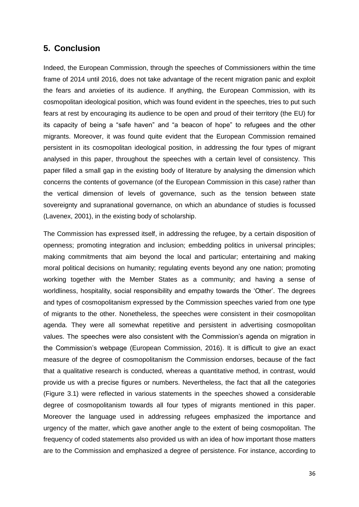# **5. Conclusion**

Indeed, the European Commission, through the speeches of Commissioners within the time frame of 2014 until 2016, does not take advantage of the recent migration panic and exploit the fears and anxieties of its audience. If anything, the European Commission, with its cosmopolitan ideological position, which was found evident in the speeches, tries to put such fears at rest by encouraging its audience to be open and proud of their territory (the EU) for its capacity of being a "safe haven" and "a beacon of hope" to refugees and the other migrants. Moreover, it was found quite evident that the European Commission remained persistent in its cosmopolitan ideological position, in addressing the four types of migrant analysed in this paper, throughout the speeches with a certain level of consistency. This paper filled a small gap in the existing body of literature by analysing the dimension which concerns the contents of governance (of the European Commission in this case) rather than the vertical dimension of levels of governance, such as the tension between state sovereignty and supranational governance, on which an abundance of studies is focussed (Lavenex, 2001), in the existing body of scholarship.

The Commission has expressed itself, in addressing the refugee, by a certain disposition of openness; promoting integration and inclusion; embedding politics in universal principles; making commitments that aim beyond the local and particular; entertaining and making moral political decisions on humanity; regulating events beyond any one nation; promoting working together with the Member States as a community; and having a sense of worldliness, hospitality, social responsibility and empathy towards the 'Other'. The degrees and types of cosmopolitanism expressed by the Commission speeches varied from one type of migrants to the other. Nonetheless, the speeches were consistent in their cosmopolitan agenda. They were all somewhat repetitive and persistent in advertising cosmopolitan values. The speeches were also consistent with the Commission's agenda on migration in the Commission's webpage (European Commission, 2016). It is difficult to give an exact measure of the degree of cosmopolitanism the Commission endorses, because of the fact that a qualitative research is conducted, whereas a quantitative method, in contrast, would provide us with a precise figures or numbers. Nevertheless, the fact that all the categories (Figure 3.1) were reflected in various statements in the speeches showed a considerable degree of cosmopolitanism towards all four types of migrants mentioned in this paper. Moreover the language used in addressing refugees emphasized the importance and urgency of the matter, which gave another angle to the extent of being cosmopolitan. The frequency of coded statements also provided us with an idea of how important those matters are to the Commission and emphasized a degree of persistence. For instance, according to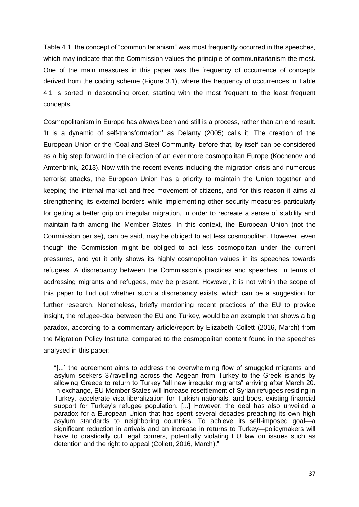Table 4.1, the concept of "communitarianism" was most frequently occurred in the speeches, which may indicate that the Commission values the principle of communitarianism the most. One of the main measures in this paper was the frequency of occurrence of concepts derived from the coding scheme (Figure 3.1), where the frequency of occurrences in Table 4.1 is sorted in descending order, starting with the most frequent to the least frequent concepts.

Cosmopolitanism in Europe has always been and still is a process, rather than an end result. 'It is a dynamic of self-transformation' as Delanty (2005) calls it. The creation of the European Union or the 'Coal and Steel Community' before that, by itself can be considered as a big step forward in the direction of an ever more cosmopolitan Europe (Kochenov and Amtenbrink, 2013). Now with the recent events including the migration crisis and numerous terrorist attacks, the European Union has a priority to maintain the Union together and keeping the internal market and free movement of citizens, and for this reason it aims at strengthening its external borders while implementing other security measures particularly for getting a better grip on irregular migration, in order to recreate a sense of stability and maintain faith among the Member States. In this context, the European Union (not the Commission per se), can be said, may be obliged to act less cosmopolitan. However, even though the Commission might be obliged to act less cosmopolitan under the current pressures, and yet it only shows its highly cosmopolitan values in its speeches towards refugees. A discrepancy between the Commission's practices and speeches, in terms of addressing migrants and refugees, may be present. However, it is not within the scope of this paper to find out whether such a discrepancy exists, which can be a suggestion for further research. Nonetheless, briefly mentioning recent practices of the EU to provide insight, the refugee-deal between the EU and Turkey, would be an example that shows a big paradox, according to a commentary article/report by Elizabeth Collett (2016, March) from the Migration Policy Institute, compared to the cosmopolitan content found in the speeches analysed in this paper:

"[...] the agreement aims to address the overwhelming flow of smuggled migrants and asylum seekers 37ravelling across the Aegean from Turkey to the Greek islands by allowing Greece to return to Turkey "all new irregular migrants" arriving after March 20. In exchange, EU Member States will increase resettlement of Syrian refugees residing in Turkey, accelerate visa liberalization for Turkish nationals, and boost existing financial support for Turkey's refugee population. [...] However, the deal has also unveiled a paradox for a European Union that has spent several decades preaching its own high asylum standards to neighboring countries. To achieve its self-imposed goal—a significant reduction in arrivals and an increase in returns to Turkey—policymakers will have to drastically cut legal corners, potentially violating EU law on issues such as detention and the right to appeal (Collett, 2016, March)."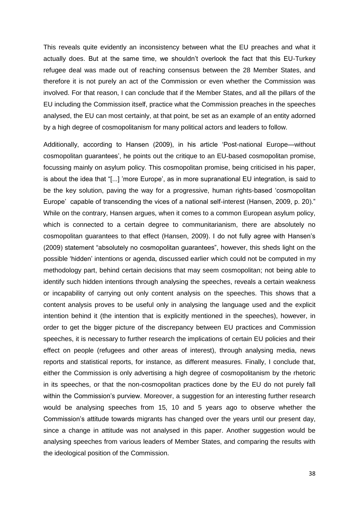This reveals quite evidently an inconsistency between what the EU preaches and what it actually does. But at the same time, we shouldn't overlook the fact that this EU-Turkey refugee deal was made out of reaching consensus between the 28 Member States, and therefore it is not purely an act of the Commission or even whether the Commission was involved. For that reason, I can conclude that if the Member States, and all the pillars of the EU including the Commission itself, practice what the Commission preaches in the speeches analysed, the EU can most certainly, at that point, be set as an example of an entity adorned by a high degree of cosmopolitanism for many political actors and leaders to follow.

Additionally, according to Hansen (2009), in his article 'Post-national Europe—without cosmopolitan guarantees', he points out the critique to an EU-based cosmopolitan promise, focussing mainly on asylum policy. This cosmopolitan promise, being criticised in his paper, is about the idea that "[...] 'more Europe', as in more supranational EU integration, is said to be the key solution, paving the way for a progressive, human rights-based 'cosmopolitan Europe' capable of transcending the vices of a national self-interest (Hansen, 2009, p. 20)." While on the contrary, Hansen argues, when it comes to a common European asylum policy, which is connected to a certain degree to communitarianism, there are absolutely no cosmopolitan guarantees to that effect (Hansen, 2009). I do not fully agree with Hansen's (2009) statement "absolutely no cosmopolitan guarantees", however, this sheds light on the possible 'hidden' intentions or agenda, discussed earlier which could not be computed in my methodology part, behind certain decisions that may seem cosmopolitan; not being able to identify such hidden intentions through analysing the speeches, reveals a certain weakness or incapability of carrying out only content analysis on the speeches. This shows that a content analysis proves to be useful only in analysing the language used and the explicit intention behind it (the intention that is explicitly mentioned in the speeches), however, in order to get the bigger picture of the discrepancy between EU practices and Commission speeches, it is necessary to further research the implications of certain EU policies and their effect on people (refugees and other areas of interest), through analysing media, news reports and statistical reports, for instance, as different measures. Finally, I conclude that, either the Commission is only advertising a high degree of cosmopolitanism by the rhetoric in its speeches, or that the non-cosmopolitan practices done by the EU do not purely fall within the Commission's purview. Moreover, a suggestion for an interesting further research would be analysing speeches from 15, 10 and 5 years ago to observe whether the Commission's attitude towards migrants has changed over the years until our present day, since a change in attitude was not analysed in this paper. Another suggestion would be analysing speeches from various leaders of Member States, and comparing the results with the ideological position of the Commission.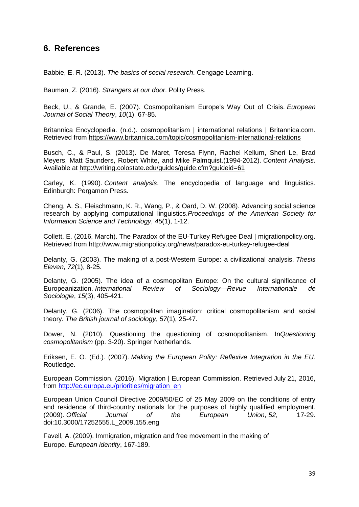# **6. References**

Babbie, E. R. (2013). *The basics of social research*. Cengage Learning.

Bauman, Z. (2016). *Strangers at our door*. Polity Press.

Beck, U., & Grande, E. (2007). Cosmopolitanism Europe's Way Out of Crisis. *European Journal of Social Theory*, *10*(1), 67-85.

Britannica Encyclopedia. (n.d.). cosmopolitanism | international relations | Britannica.com. Retrieved from <https://www.britannica.com/topic/cosmopolitanism-international-relations>

Busch, C., & Paul, S. (2013). De Maret, Teresa Flynn, Rachel Kellum, Sheri Le, Brad Meyers, Matt Saunders, Robert White, and Mike Palmquist.(1994-2012). *Content Analysis*. Available at <http://writing.colostate.edu/guides/guide.cfm?guideid=61>

Carley, K. (1990). *Content analysis*. The encyclopedia of language and linguistics. Edinburgh: Pergamon Press.

Cheng, A. S., Fleischmann, K. R., Wang, P., & Oard, D. W. (2008). Advancing social science research by applying computational linguistics.*Proceedings of the American Society for Information Science and Technology*, *45*(1), 1-12.

Collett, E. (2016, March). The Paradox of the EU-Turkey Refugee Deal | migrationpolicy.org. Retrieved from http://www.migrationpolicy.org/news/paradox-eu-turkey-refugee-deal

Delanty, G. (2003). The making of a post-Western Europe: a civilizational analysis. *Thesis Eleven*, *72*(1), 8-25.

Delanty, G. (2005). The idea of a cosmopolitan Europe: On the cultural significance of Europeanization. *International Review of Sociology—Revue Internationale de Sociologie*, *15*(3), 405-421.

Delanty, G. (2006). The cosmopolitan imagination: critical cosmopolitanism and social theory. *The British journal of sociology*, *57*(1), 25-47.

Dower, N. (2010). Questioning the questioning of cosmopolitanism. In*Questioning cosmopolitanism* (pp. 3-20). Springer Netherlands.

Eriksen, E. O. (Ed.). (2007). *Making the European Polity: Reflexive Integration in the EU*. Routledge.

European Commission. (2016). Migration | European Commission. Retrieved July 21, 2016, from [http://ec.europa.eu/priorities/migration\\_en](http://ec.europa.eu/priorities/migration_en)

European Union Council Directive 2009/50/EC of 25 May 2009 on the conditions of entry and residence of third-country nationals for the purposes of highly qualified employment. (2009). *Official Journal of the European Union*, *52*, 17-29. doi:10.3000/17252555.L\_2009.155.eng

Favell, A. (2009). Immigration, migration and free movement in the making of Europe. *European identity*, 167-189.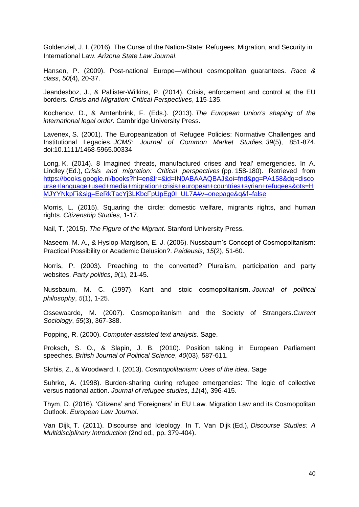Goldenziel, J. I. (2016). The Curse of the Nation-State: Refugees, Migration, and Security in International Law. *Arizona State Law Journal*.

Hansen, P. (2009). Post-national Europe—without cosmopolitan guarantees. *Race & class*, *50*(4), 20-37.

Jeandesboz, J., & Pallister-Wilkins, P. (2014). Crisis, enforcement and control at the EU borders. *Crisis and Migration: Critical Perspectives*, 115-135.

Kochenov, D., & Amtenbrink, F. (Eds.). (2013). *The European Union's shaping of the international legal order*. Cambridge University Press.

Lavenex, S. (2001). The Europeanization of Refugee Policies: Normative Challenges and Institutional Legacies. *JCMS: Journal of Common Market Studies*, *39*(5), 851-874. doi:10.1111/1468-5965.00334

Long, K. (2014). 8 Imagined threats, manufactured crises and 'real' emergencies. In A. Lindley (Ed.), *Crisis and migration: Critical perspectives* (pp. 158-180). Retrieved from [https://books.google.nl/books?hl=en&lr=&id=IN0ABAAAQBAJ&oi=fnd&pg=PA158&dq=disco](https://books.google.nl/books?hl=en&lr=&id=IN0ABAAAQBAJ&oi=fnd&pg=PA158&dq=discourse+language+used+media+migration+crisis+european+countries+syrian+refugees&ots=HMJYYNkpFi&sig=EeRkTacYj3LKbcFpUpEg0I_UL7A#v=onepage&q&f=false) [urse+language+used+media+migration+crisis+european+countries+syrian+refugees&ots=H](https://books.google.nl/books?hl=en&lr=&id=IN0ABAAAQBAJ&oi=fnd&pg=PA158&dq=discourse+language+used+media+migration+crisis+european+countries+syrian+refugees&ots=HMJYYNkpFi&sig=EeRkTacYj3LKbcFpUpEg0I_UL7A#v=onepage&q&f=false) [MJYYNkpFi&sig=EeRkTacYj3LKbcFpUpEg0I\\_UL7A#v=onepage&q&f=false](https://books.google.nl/books?hl=en&lr=&id=IN0ABAAAQBAJ&oi=fnd&pg=PA158&dq=discourse+language+used+media+migration+crisis+european+countries+syrian+refugees&ots=HMJYYNkpFi&sig=EeRkTacYj3LKbcFpUpEg0I_UL7A#v=onepage&q&f=false)

Morris, L. (2015). Squaring the circle: domestic welfare, migrants rights, and human rights. *Citizenship Studies*, 1-17.

Nail, T. (2015). *The Figure of the Migrant*. Stanford University Press.

Naseem, M. A., & Hyslop-Margison, E. J. (2006). Nussbaum's Concept of Cosmopolitanism: Practical Possibility or Academic Delusion?. *Paideusis*, *15*(2), 51-60.

Norris, P. (2003). Preaching to the converted? Pluralism, participation and party websites. *Party politics*, *9*(1), 21-45.

Nussbaum, M. C. (1997). Kant and stoic cosmopolitanism. *Journal of political philosophy*, *5*(1), 1-25.

Ossewaarde, M. (2007). Cosmopolitanism and the Society of Strangers.*Current Sociology*, *55*(3), 367-388.

Popping, R. (2000). *Computer-assisted text analysis*. Sage.

Proksch, S. O., & Slapin, J. B. (2010). Position taking in European Parliament speeches. *British Journal of Political Science*, *40*(03), 587-611.

Skrbis, Z., & Woodward, I. (2013). *Cosmopolitanism: Uses of the idea*. Sage

Suhrke, A. (1998). Burden-sharing during refugee emergencies: The logic of collective versus national action. *Journal of refugee studies*, *11*(4), 396-415.

Thym, D. (2016). 'Citizens' and 'Foreigners' in EU Law. Migration Law and its Cosmopolitan Outlook. *European Law Journal*.

Van Dijk, T. (2011). Discourse and Ideology. In T. Van Dijk (Ed.), *Discourse Studies: A Multidisciplinary Introduction* (2nd ed., pp. 379-404).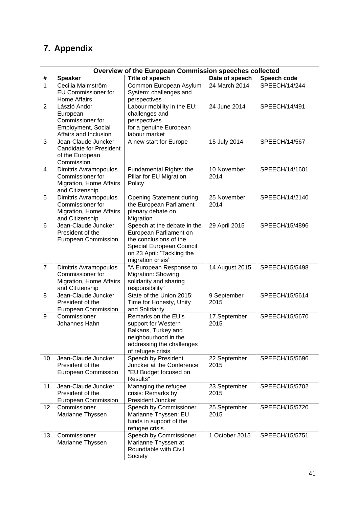# **7. Appendix**

|                | Overview of the European Commission speeches collected                                         |                                                                                                                                                                |                      |                |
|----------------|------------------------------------------------------------------------------------------------|----------------------------------------------------------------------------------------------------------------------------------------------------------------|----------------------|----------------|
| #              | <b>Speaker</b>                                                                                 | <b>Title of speech</b>                                                                                                                                         | Date of speech       | Speech code    |
| $\mathbf{1}$   | Cecilia Malmström<br><b>EU Commissioner for</b><br>Home Affairs                                | Common European Asylum<br>System: challenges and<br>perspectives                                                                                               | 24 March 2014        | SPEECH/14/244  |
| 2              | László Andor<br>European<br>Commissioner for<br>Employment, Social<br>Affairs and Inclusion    | Labour mobility in the EU:<br>challenges and<br>perspectives<br>for a genuine European<br>labour market                                                        | 24 June 2014         | SPEECH/14/491  |
| 3              | Jean-Claude Juncker<br><b>Candidate for President</b><br>of the European<br>Commission         | A new start for Europe                                                                                                                                         | 15 July 2014         | SPEECH/14/567  |
| 4              | <b>Dimitris Avramopoulos</b><br>Commissioner for<br>Migration, Home Affairs<br>and Citizenship | Fundamental Rights: the<br>Pillar for EU Migration<br>Policy                                                                                                   | 10 November<br>2014  | SPEECH/14/1601 |
| 5              | <b>Dimitris Avramopoulos</b><br>Commissioner for<br>Migration, Home Affairs<br>and Citizenship | <b>Opening Statement during</b><br>the European Parliament<br>plenary debate on<br>Migration                                                                   | 25 November<br>2014  | SPEECH/14/2140 |
| 6              | Jean-Claude Juncker<br>President of the<br>European Commission                                 | Speech at the debate in the<br>European Parliament on<br>the conclusions of the<br>Special European Council<br>on 23 April: 'Tackling the<br>migration crisis' | 29 April 2015        | SPEECH/15/4896 |
| $\overline{7}$ | <b>Dimitris Avramopoulos</b><br>Commissioner for<br>Migration, Home Affairs<br>and Citizenship | "A European Response to<br>Migration: Showing<br>solidarity and sharing<br>responsibility"                                                                     | 14 August 2015       | SPEECH/15/5498 |
| 8              | Jean-Claude Juncker<br>President of the<br>European Commission                                 | State of the Union 2015:<br>Time for Honesty, Unity<br>and Solidarity                                                                                          | 9 September<br>2015  | SPEECH/15/5614 |
| 9              | Commissioner<br>Johannes Hahn                                                                  | Remarks on the EU's<br>support for Western<br>Balkans, Turkey and<br>neighbourhood in the<br>addressing the challenges<br>of refugee crisis                    | 17 September<br>2015 | SPEECH/15/5670 |
| 10             | Jean-Claude Juncker<br>President of the<br>European Commission                                 | Speech by President<br>Juncker at the Conference<br>"EU Budget focused on<br>Results"                                                                          | 22 September<br>2015 | SPEECH/15/5696 |
| 11             | Jean-Claude Juncker<br>President of the<br>European Commission                                 | Managing the refugee<br>crisis: Remarks by<br>President Juncker                                                                                                | 23 September<br>2015 | SPEECH/15/5702 |
| 12             | Commissioner<br>Marianne Thyssen                                                               | Speech by Commissioner<br>Marianne Thyssen: EU<br>funds in support of the<br>refugee crisis                                                                    | 25 September<br>2015 | SPEECH/15/5720 |
| 13             | Commissioner<br>Marianne Thyssen                                                               | Speech by Commissioner<br>Marianne Thyssen at<br>Roundtable with Civil<br>Society                                                                              | 1 October 2015       | SPEECH/15/5751 |